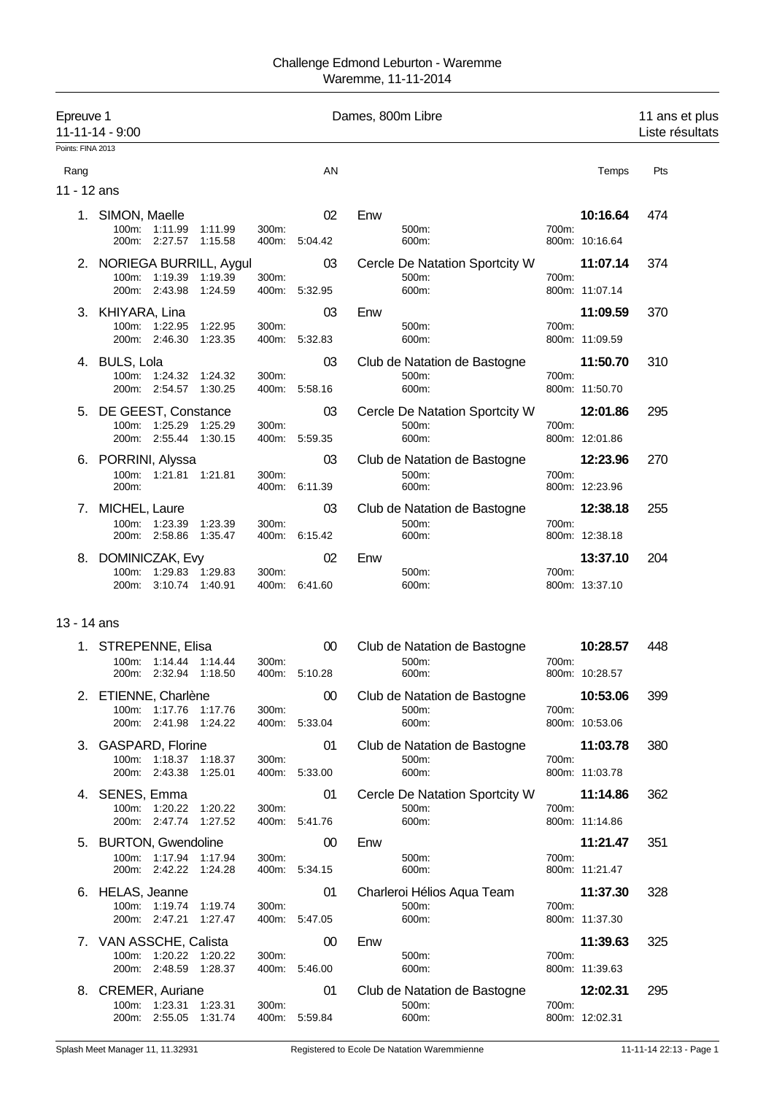| Epreuve 1         | 11-11-14 - 9:00                                             |       |               | Dames, 800m Libre                       |                         | 11 ans et plus<br>Liste résultats |
|-------------------|-------------------------------------------------------------|-------|---------------|-----------------------------------------|-------------------------|-----------------------------------|
| Points: FINA 2013 |                                                             |       |               |                                         |                         |                                   |
| Rang              |                                                             |       | AN            |                                         | Temps                   | Pts                               |
| 11 - 12 ans       |                                                             |       |               |                                         |                         |                                   |
|                   | 1. SIMON, Maelle                                            |       | 02            | Enw                                     | 10:16.64                | 474                               |
|                   | 100m: 1:11.99<br>1:11.99<br>200m: 2:27.57<br>1:15.58        | 300m: | 400m: 5:04.42 | 500m:<br>600m:                          | 700m:<br>800m: 10:16.64 |                                   |
|                   | 2. NORIEGA BURRILL, Aygul<br>1:19.39<br>1:19.39<br>$100m$ : | 300m: | 03            | Cercle De Natation Sportcity W<br>500m: | 11:07.14<br>700m:       | 374                               |
|                   | 200m: 2:43.98<br>1.24.59                                    |       | 400m: 5:32.95 | 600m:                                   | 800m: 11:07.14          |                                   |
|                   | 3. KHIYARA, Lina                                            |       | 03            | Enw                                     | 11:09.59                | 370                               |
|                   | 100m: 1:22.95<br>1:22.95<br>200m: 2:46.30<br>1:23.35        | 300m: | 400m: 5:32.83 | 500m:<br>600m:                          | 700m:<br>800m: 11:09.59 |                                   |
|                   | 4. BULS, Lola                                               |       | 03            | Club de Natation de Bastogne            | 11:50.70                | 310                               |
|                   | 100m: 1:24.32 1:24.32<br>200m: 2:54.57 1:30.25              | 300m: | 400m: 5:58.16 | 500m:<br>600m:                          | 700m:<br>800m: 11:50.70 |                                   |
|                   | 5. DE GEEST, Constance                                      |       | 03            | Cercle De Natation Sportcity W          | 12:01.86                | 295                               |
|                   | 100m: 1:25.29<br>1:25.29<br>200m: 2:55.44<br>1:30.15        | 300m: | 400m: 5:59.35 | 500m:<br>600m:                          | 700m:<br>800m: 12:01.86 |                                   |
| 6.                | PORRINI, Alyssa                                             |       | 03            | Club de Natation de Bastogne            | 12:23.96                | 270                               |
|                   | 100m: 1:21.81 1:21.81<br>200m:                              | 300m: | 400m: 6:11.39 | 500m:<br>600m:                          | 700m:<br>800m: 12:23.96 |                                   |
| 7.                | MICHEL, Laure                                               |       | 03            | Club de Natation de Bastogne            | 12:38.18                | 255                               |
|                   | 1:23.39<br>100m:<br>1:23.39<br>200m: 2:58.86                | 300m: |               | 500m:<br>600m:                          | 700m:                   |                                   |
|                   | 1:35.47                                                     |       | 400m: 6:15.42 |                                         | 800m: 12:38.18          |                                   |
| 8.                | DOMINICZAK, Evy<br>1:29.83 1:29.83<br>100m:                 | 300m: | 02            | Enw<br>500m:                            | 13:37.10<br>700m:       | 204                               |
|                   | 200m: 3:10.74 1:40.91                                       |       | 400m: 6:41.60 | 600m:                                   | 800m: 13:37.10          |                                   |
| 13 - 14 ans       |                                                             |       |               |                                         |                         |                                   |
|                   | 1. STREPENNE, Elisa                                         |       | 00            | Club de Natation de Bastogne            | 10:28.57                | 448                               |
|                   | 100m:<br>1:14.44<br>1.14.44                                 | 300m: |               | 500m:                                   | 700m:                   |                                   |
|                   | 200m:<br>2:32.94<br>1:18.50                                 | 400m: | 5:10.28       | 600m:                                   | 800m: 10:28.57          |                                   |
|                   | 2. ETIENNE, Charlène                                        |       | 00            | Club de Natation de Bastogne            | 10:53.06                | 399                               |
|                   | 100m: 1:17.76 1:17.76<br>200m: 2:41.98 1:24.22              | 300m: | 400m: 5:33.04 | 500m:<br>600m:                          | 700m:<br>800m: 10:53.06 |                                   |
|                   | 3. GASPARD, Florine                                         |       | 01            | Club de Natation de Bastogne            | 11:03.78                | 380                               |
|                   | 100m: 1:18.37 1:18.37                                       | 300m: |               | 500m:                                   | 700m:                   |                                   |
|                   | 200m: 2:43.38 1:25.01                                       |       | 400m: 5:33.00 | 600m:                                   | 800m: 11:03.78          |                                   |
|                   | 4. SENES, Emma<br>100m: 1:20.22<br>1:20.22                  | 300m: | 01            | Cercle De Natation Sportcity W<br>500m: | 11:14.86<br>700m:       | 362                               |
|                   | 200m: 2:47.74 1:27.52                                       |       | 400m: 5:41.76 | 600m:                                   | 800m: 11:14.86          |                                   |
|                   | 5. BURTON, Gwendoline                                       |       | 00            | Enw                                     | 11:21.47                | 351                               |
|                   | 100m: 1:17.94 1:17.94<br>200m: 2:42.22 1:24.28              | 300m: | 400m: 5:34.15 | 500m:<br>600m:                          | 700m:<br>800m: 11:21.47 |                                   |
|                   | 6. HELAS, Jeanne<br>100m: 1:19.74 1:19.74                   | 300m: | 01            | Charleroi Hélios Aqua Team<br>500m:     | 11:37.30<br>700m:       | 328                               |
|                   | 200m: 2:47.21<br>1:27.47                                    |       | 400m: 5:47.05 | 600m:                                   | 800m: 11:37.30          |                                   |
|                   | 7. VAN ASSCHE, Calista                                      |       | 00            | Enw                                     | 11:39.63                | 325                               |
|                   | 100m: 1:20.22 1:20.22                                       | 300m: |               | 500m:                                   | 700m:                   |                                   |
|                   | 200m: 2:48.59 1:28.37                                       |       | 400m: 5:46.00 | 600m:                                   | 800m: 11:39.63          |                                   |
|                   | 8. CREMER, Auriane<br>100m: 1:23.31 1:23.31                 | 300m: | 01            | Club de Natation de Bastogne<br>500m:   | 12:02.31<br>700m:       | 295                               |
|                   | 200m: 2:55.05 1:31.74                                       |       | 400m: 5:59.84 | 600m:                                   | 800m: 12:02.31          |                                   |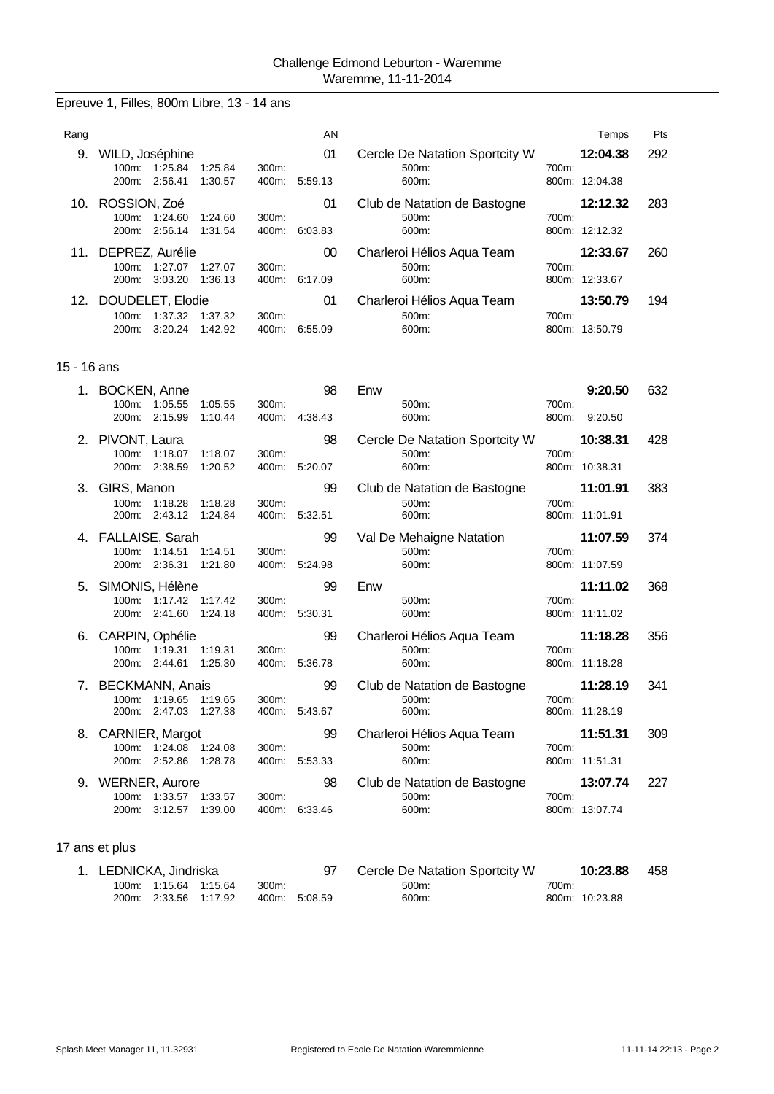## Epreuve 1, Filles, 800m Libre, 13 - 14 ans

| Rang |                                            |                                      | AN      |                                |       | Temps          | <b>Pts</b> |
|------|--------------------------------------------|--------------------------------------|---------|--------------------------------|-------|----------------|------------|
| 9.   | WILD, Joséphine                            |                                      | 01      | Cercle De Natation Sportcity W |       | 12:04.38       | 292        |
|      | 1:25.84<br>100m:<br>2:56.41<br>200m:       | 1:25.84<br>300m:<br>1:30.57<br>400m: | 5:59.13 | $500m$ :<br>600m:              | 700m: | 800m: 12:04.38 |            |
| 10.  | ROSSION, Zoé                               |                                      | 01      | Club de Natation de Bastogne   |       | 12:12.32       | 283        |
|      | 1:24.60<br>100m:                           | 1:24.60<br>300m.                     |         | $500m$ :                       | 700m: |                |            |
|      | 2:56.14<br>200m:                           | 1:31.54<br>400m:                     | 6:03.83 | 600m:                          |       | 800m: 12:12.32 |            |
| 11.  | DEPREZ, Aurélie                            |                                      | 00      | Charleroi Hélios Agua Team     |       | 12:33.67       | 260        |
|      | 1:27.07<br>$100m$ :                        | 1:27.07<br>$300m$ :                  |         | $500m$ :                       | 700m: |                |            |
|      | 3:03.20<br>200m:                           | 1:36.13<br>400m:                     | 6:17.09 | 600m:                          |       | 800m: 12:33.67 |            |
| 12.  | DOUDELET, Elodie                           |                                      | 01      | Charleroi Hélios Aqua Team     |       | 13:50.79       | 194        |
|      | 1:37.32<br>$100m$ :<br>3:20.24<br>$200m$ : | 1:37.32<br>300m.<br>1:42.92<br>400m: | 6:55.09 | $500m$ :<br>600m:              | 700m: | 800m: 13:50.79 |            |

## 15 - 16 ans

| 1. | <b>BOCKEN, Anne</b><br>100m: 1:05.55<br>200m: 2:15.99              | 1:05.55<br>1:10.44 | 300m:<br>400m: | 98<br>4:38.43       | Enw<br>500m:<br>600m:                            | 700m:<br>800m: | 9:20.50<br>9:20.50         | 632 |
|----|--------------------------------------------------------------------|--------------------|----------------|---------------------|--------------------------------------------------|----------------|----------------------------|-----|
|    | 2. PIVONT, Laura<br>100m: 1:18.07<br>200m: 2:38.59                 | 1:18.07<br>1:20.52 | 300m:          | 98<br>400m: 5:20.07 | Cercle De Natation Sportcity W<br>500m:<br>600m: | 700m:          | 10:38.31<br>800m: 10:38.31 | 428 |
|    | 3. GIRS, Manon<br>100m: 1:18.28<br>200m: 2:43.12                   | 1:18.28<br>1:24.84 | 300m:          | 99<br>400m: 5:32.51 | Club de Natation de Bastogne<br>500m:<br>600m:   | 700m:          | 11:01.91<br>800m: 11:01.91 | 383 |
|    | 4. FALLAISE, Sarah<br>100m: 1:14.51<br>2:36.31<br>200m:            | 1:14.51<br>1:21.80 | 300m:<br>400m: | 99<br>5:24.98       | Val De Mehaigne Natation<br>500m:<br>600m:       | 700m:          | 11:07.59<br>800m: 11:07.59 | 374 |
| 5. | SIMONIS, Hélène<br>1:17.42 1:17.42<br>100m:<br>200m: 2:41.60       | 1:24.18            | 300m:<br>400m: | 99<br>5:30.31       | Enw<br>500m:<br>600m:                            | 700m:          | 11:11.02<br>800m: 11:11.02 | 368 |
| 6. | CARPIN, Ophélie<br>100m: 1:19.31<br>200m: 2:44.61                  | 1:19.31<br>1:25.30 | 300m:          | 99<br>400m: 5:36.78 | Charleroi Hélios Aqua Team<br>500m:<br>600m:     | 700m:          | 11:18.28<br>800m: 11:18.28 | 356 |
|    | 7. BECKMANN, Anais<br>100m: 1:19.65 1:19.65<br>200m: 2:47.03       | 1:27.38            | 300m:          | 99<br>400m: 5:43.67 | Club de Natation de Bastogne<br>500m:<br>600m:   | 700m:          | 11:28.19<br>800m: 11:28.19 | 341 |
| 8. | <b>CARNIER, Margot</b><br>100m: 1:24.08 1:24.08<br>200m: 2:52.86   | 1:28.78            | 300m:<br>400m: | 99<br>5:53.33       | Charleroi Hélios Aqua Team<br>500m:<br>600m:     | 700m:          | 11:51.31<br>800m: 11:51.31 | 309 |
| 9. | <b>WERNER, Aurore</b><br>100m: 1:33.57 1:33.57<br>3:12.57<br>200m: | 1:39.00            | 300m:<br>400m: | 98<br>6:33.46       | Club de Natation de Bastogne<br>500m:<br>600m:   | 700m:          | 13:07.74<br>800m: 13:07.74 | 227 |

| 1. LEDNICKA, Jindriska |                       |       |               | Cercle De Natation Sportcity W |       | 10:23.88       | 458 |
|------------------------|-----------------------|-------|---------------|--------------------------------|-------|----------------|-----|
|                        |                       | 300m: |               | $500m$ :                       | 700m: |                |     |
|                        | 200m. 2:33.56 1:17.92 |       | 400m: 5:08.59 | 600m:                          |       | 800m: 10:23.88 |     |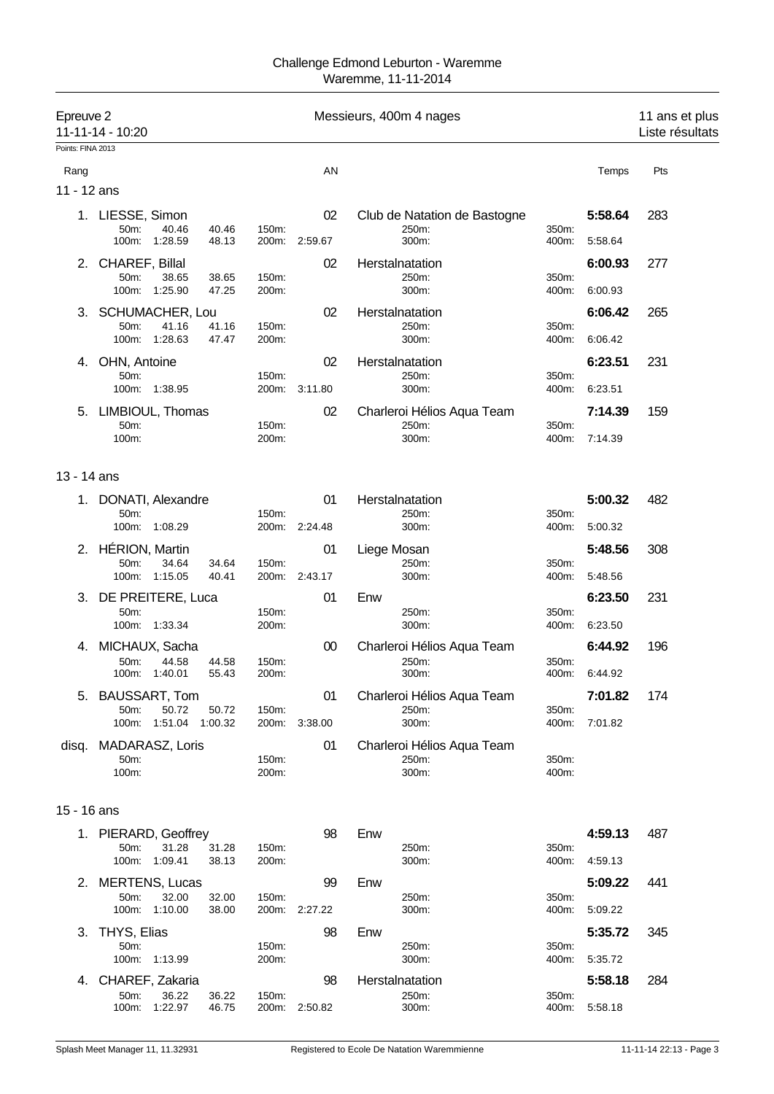| Points: FINA 2013<br>AN<br>Rang<br>11 - 12 ans<br>1. LIESSE, Simon<br>02<br>Club de Natation de Bastogne<br>50m:<br>150m:<br>40.46<br>40.46<br>250m:<br>350m:<br>100m:<br>1:28.59<br>48.13<br>200m: 2:59.67<br>300m:<br>400m:<br>CHAREF, Billal<br>02<br>2.<br>Herstalnatation<br>50m:<br>150m:<br>250m:<br>350m:<br>38.65<br>38.65<br>1:25.90<br>300m:<br>100m:<br>47.25<br>200m:<br>400m:<br>3. SCHUMACHER, Lou<br>02<br>Herstalnatation<br>50m:<br>41.16<br>41.16<br>150m:<br>250m:<br>350m:<br>100m: 1:28.63<br>47.47<br>200m:<br>300m:<br>400m:<br>4. OHN, Antoine<br>02<br>Herstalnatation | Temps<br>5:58.64<br>5:58.64<br>6:00.93<br>6:00.93<br>6:06.42<br>6:06.42<br>6:23.51 | Pts<br>283<br>277<br>265 |
|--------------------------------------------------------------------------------------------------------------------------------------------------------------------------------------------------------------------------------------------------------------------------------------------------------------------------------------------------------------------------------------------------------------------------------------------------------------------------------------------------------------------------------------------------------------------------------------------------|------------------------------------------------------------------------------------|--------------------------|
|                                                                                                                                                                                                                                                                                                                                                                                                                                                                                                                                                                                                  |                                                                                    |                          |
|                                                                                                                                                                                                                                                                                                                                                                                                                                                                                                                                                                                                  |                                                                                    |                          |
|                                                                                                                                                                                                                                                                                                                                                                                                                                                                                                                                                                                                  |                                                                                    |                          |
|                                                                                                                                                                                                                                                                                                                                                                                                                                                                                                                                                                                                  |                                                                                    |                          |
|                                                                                                                                                                                                                                                                                                                                                                                                                                                                                                                                                                                                  |                                                                                    |                          |
|                                                                                                                                                                                                                                                                                                                                                                                                                                                                                                                                                                                                  |                                                                                    |                          |
|                                                                                                                                                                                                                                                                                                                                                                                                                                                                                                                                                                                                  |                                                                                    |                          |
|                                                                                                                                                                                                                                                                                                                                                                                                                                                                                                                                                                                                  |                                                                                    |                          |
|                                                                                                                                                                                                                                                                                                                                                                                                                                                                                                                                                                                                  |                                                                                    | 231                      |
| 150m:<br>250m:<br>350m:<br>50m:<br>100m: 1:38.95<br>200m: 3:11.80<br>300m:<br>400m:                                                                                                                                                                                                                                                                                                                                                                                                                                                                                                              | 6:23.51                                                                            |                          |
| 5. LIMBIOUL, Thomas<br>02<br>Charleroi Hélios Aqua Team                                                                                                                                                                                                                                                                                                                                                                                                                                                                                                                                          | 7:14.39                                                                            | 159                      |
| 150m:<br>250m:<br>50m:<br>350m:<br>100m:<br>200m:<br>300m:<br>400m:                                                                                                                                                                                                                                                                                                                                                                                                                                                                                                                              | 7:14.39                                                                            |                          |
| 13 - 14 ans                                                                                                                                                                                                                                                                                                                                                                                                                                                                                                                                                                                      |                                                                                    |                          |
| DONATI, Alexandre<br>01<br>Herstalnatation<br>50m:<br>150m:<br>250m:<br>350m:                                                                                                                                                                                                                                                                                                                                                                                                                                                                                                                    | 5:00.32                                                                            | 482                      |
| 100m:<br>1:08.29<br>200m: 2:24.48<br>300m:<br>400m:                                                                                                                                                                                                                                                                                                                                                                                                                                                                                                                                              | 5:00.32                                                                            |                          |
| 2. HÉRION, Martin<br>01<br>Liege Mosan<br>50m:<br>34.64<br>34.64<br>150m:<br>250m:<br>350m:                                                                                                                                                                                                                                                                                                                                                                                                                                                                                                      | 5:48.56                                                                            | 308                      |
| 100m: 1:15.05<br>40.41<br>200m: 2:43.17<br>300m:<br>400m:                                                                                                                                                                                                                                                                                                                                                                                                                                                                                                                                        | 5:48.56                                                                            |                          |
| Enw<br>3. DE PREITERE, Luca<br>01<br>50m:<br>150m:<br>250m:<br>350m:                                                                                                                                                                                                                                                                                                                                                                                                                                                                                                                             | 6:23.50                                                                            | 231                      |
| 100m:<br>1:33.34<br>200m:<br>300m:<br>400m:                                                                                                                                                                                                                                                                                                                                                                                                                                                                                                                                                      | 6:23.50                                                                            |                          |
| 4. MICHAUX, Sacha<br>00<br>Charleroi Hélios Aqua Team                                                                                                                                                                                                                                                                                                                                                                                                                                                                                                                                            | 6:44.92                                                                            | 196                      |
| 44.58<br>50m:<br>150m:<br>250m:<br>350m:<br>44.58<br>1:40.01<br>55.43<br>200m:<br>300m:<br>100m:<br>400m:                                                                                                                                                                                                                                                                                                                                                                                                                                                                                        | 6:44.92                                                                            |                          |
| Charleroi Hélios Aqua Team<br>5. BAUSSART, Tom<br>01                                                                                                                                                                                                                                                                                                                                                                                                                                                                                                                                             | 7:01.82                                                                            | 174                      |
| 50m:<br>50.72<br>50.72<br>150m:<br>250m:<br>350m:<br>100m: 1:51.04<br>1:00.32<br>200m: 3:38.00<br>300m:<br>400m:                                                                                                                                                                                                                                                                                                                                                                                                                                                                                 | 7:01.82                                                                            |                          |
| MADARASZ, Loris<br>01<br>Charleroi Hélios Aqua Team<br>disq.                                                                                                                                                                                                                                                                                                                                                                                                                                                                                                                                     |                                                                                    |                          |
| 50m:<br>150m:<br>250m:<br>350m:<br>100m:<br>200m:<br>300m:<br>400m:                                                                                                                                                                                                                                                                                                                                                                                                                                                                                                                              |                                                                                    |                          |
| 15 - 16 ans                                                                                                                                                                                                                                                                                                                                                                                                                                                                                                                                                                                      |                                                                                    |                          |
| 1. PIERARD, Geoffrey<br>98<br>Enw                                                                                                                                                                                                                                                                                                                                                                                                                                                                                                                                                                | 4:59.13                                                                            | 487                      |
| 31.28<br>31.28<br>250m:<br>50m:<br>150m:<br>350m:<br>100m:<br>1:09.41<br>38.13<br>200m:<br>300m:<br>400m:                                                                                                                                                                                                                                                                                                                                                                                                                                                                                        | 4:59.13                                                                            |                          |
| 2. MERTENS, Lucas<br>99<br>Enw                                                                                                                                                                                                                                                                                                                                                                                                                                                                                                                                                                   | 5:09.22                                                                            | 441                      |
| 50m:<br>32.00<br>32.00<br>150m:<br>250m:<br>350m:<br>100m: 1:10.00<br>200m: 2:27.22<br>38.00<br>300m:<br>400m:                                                                                                                                                                                                                                                                                                                                                                                                                                                                                   | 5:09.22                                                                            |                          |
| THYS, Elias<br>98<br>Enw<br>3.                                                                                                                                                                                                                                                                                                                                                                                                                                                                                                                                                                   | 5:35.72                                                                            | 345                      |
| 50m:<br>150m:<br>250m:<br>350m:<br>100m: 1:13.99<br>200m:<br>300m:<br>400m:                                                                                                                                                                                                                                                                                                                                                                                                                                                                                                                      | 5:35.72                                                                            |                          |
| 98<br>CHAREF, Zakaria<br>Herstalnatation<br>4.                                                                                                                                                                                                                                                                                                                                                                                                                                                                                                                                                   | 5:58.18                                                                            | 284                      |
| 50m:<br>36.22<br>36.22<br>150m:<br>250m:<br>350m:<br>200m: 2:50.82<br>100m:<br>1:22.97<br>46.75<br>300m:<br>400m:                                                                                                                                                                                                                                                                                                                                                                                                                                                                                | 5:58.18                                                                            |                          |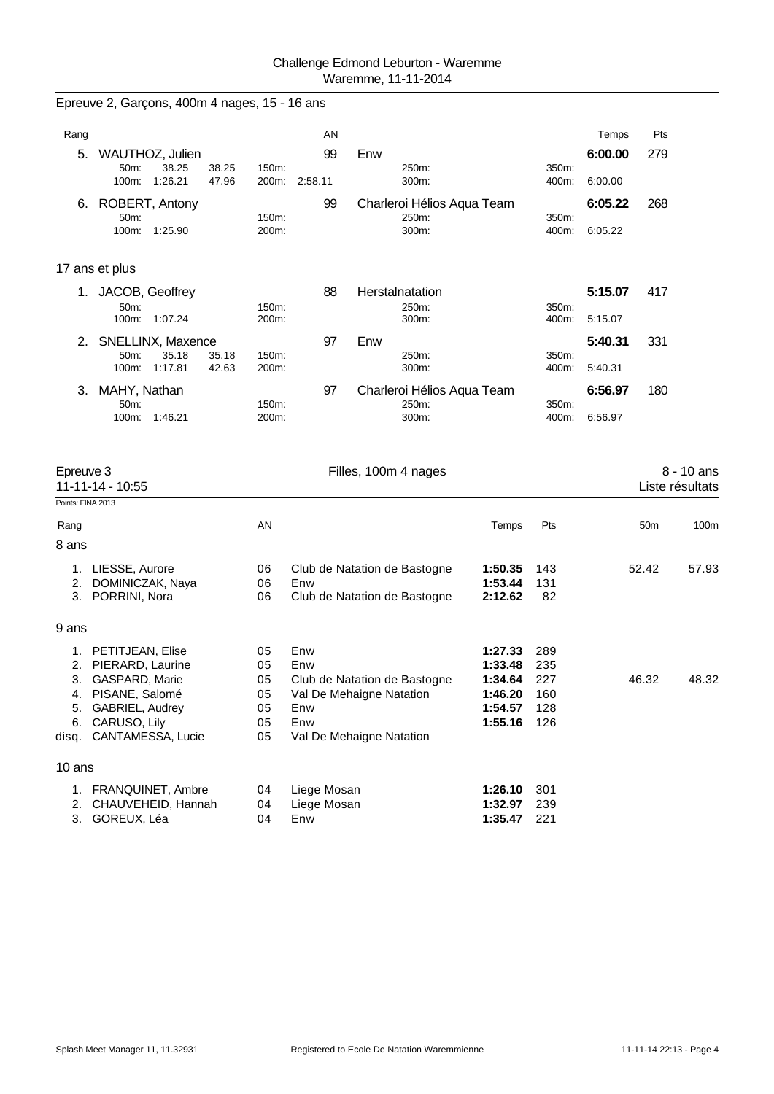Epreuve 2, Garçons, 400m 4 nages, 15 - 16 ans

| Rang                           |                                                     |                | AN          |                              |                    |                | Temps   | Pts             |                               |
|--------------------------------|-----------------------------------------------------|----------------|-------------|------------------------------|--------------------|----------------|---------|-----------------|-------------------------------|
| 5.                             | WAUTHOZ, Julien                                     |                | 99          | Enw                          |                    |                | 6:00.00 | 279             |                               |
|                                | 50m:<br>38.25<br>38.25<br>100m:<br>1:26.21<br>47.96 | 150m:<br>200m: | 2:58.11     | 250m:<br>300m:               |                    | 350m:<br>400m: | 6:00.00 |                 |                               |
| 6.                             | ROBERT, Antony                                      |                | 99          | Charleroi Hélios Aqua Team   |                    |                | 6:05.22 | 268             |                               |
|                                | 50m:<br>100m:<br>1:25.90                            | 150m:<br>200m: |             | 250m:<br>300m:               |                    | 350m:<br>400m: | 6:05.22 |                 |                               |
|                                | 17 ans et plus                                      |                |             |                              |                    |                |         |                 |                               |
| 1.                             | JACOB, Geoffrey                                     |                | 88          | Herstalnatation              |                    |                | 5:15.07 | 417             |                               |
|                                | 50m:<br>100m:<br>1:07.24                            | 150m:<br>200m: |             | 250m:<br>300m:               |                    | 350m:<br>400m: | 5:15.07 |                 |                               |
| 2.                             | SNELLINX, Maxence                                   |                | 97          | Enw                          |                    |                | 5:40.31 | 331             |                               |
|                                | 50m:<br>35.18<br>35.18<br>100m:<br>1:17.81<br>42.63 | 150m:<br>200m: |             | 250m:<br>300m:               |                    | 350m:<br>400m: | 5:40.31 |                 |                               |
| 3.                             | MAHY, Nathan                                        |                | 97          | Charleroi Hélios Aqua Team   |                    |                | 6:56.97 | 180             |                               |
|                                | 50m:<br>1:46.21<br>100m:                            | 150m:<br>200m: |             | 250m:<br>300m:               |                    | 350m:<br>400m: | 6:56.97 |                 |                               |
| Epreuve 3<br>Points: FINA 2013 | 11-11-14 - 10:55                                    |                |             | Filles, 100m 4 nages         |                    |                |         |                 | 8 - 10 ans<br>Liste résultats |
| Rang                           |                                                     | AN             |             |                              | Temps              | Pts            |         | 50 <sub>m</sub> | 100 <sub>m</sub>              |
| 8 ans                          |                                                     |                |             |                              |                    |                |         |                 |                               |
| 1.                             | LIESSE, Aurore                                      | 06             |             | Club de Natation de Bastogne | 1:50.35            | 143            |         | 52.42           | 57.93                         |
| 2.<br>3.                       | DOMINICZAK, Naya<br>PORRINI, Nora                   | 06<br>06       | Enw         | Club de Natation de Bastogne | 1:53.44<br>2:12.62 | 131<br>82      |         |                 |                               |
|                                |                                                     |                |             |                              |                    |                |         |                 |                               |
| 9 ans                          |                                                     |                |             |                              |                    |                |         |                 |                               |
| 1.                             | PETITJEAN, Elise                                    | 05             | Enw         |                              | 1:27.33            | 289            |         |                 |                               |
| 2.<br>3.                       | PIERARD, Laurine<br>GASPARD, Marie                  | 05<br>05       | Enw         | Club de Natation de Bastogne | 1:33.48<br>1:34.64 | 235<br>227     |         | 46.32           | 48.32                         |
| 4.                             | PISANE, Salomé                                      | 05             |             | Val De Mehaigne Natation     | 1:46.20            | 160            |         |                 |                               |
| 5.                             | GABRIEL, Audrey                                     | 05             | Enw         |                              | 1:54.57            | 128            |         |                 |                               |
| 6.                             | CARUSO, Lily                                        | 05             | Enw         |                              | 1:55.16            | 126            |         |                 |                               |
| disq.                          | CANTAMESSA, Lucie                                   | 05             |             | Val De Mehaigne Natation     |                    |                |         |                 |                               |
| 10 ans                         |                                                     |                |             |                              |                    |                |         |                 |                               |
|                                | 1. FRANQUINET, Ambre                                | 04             | Liege Mosan |                              | 1:26.10            | 301            |         |                 |                               |
| 2.                             | CHAUVEHEID, Hannah                                  | 04             | Liege Mosan |                              | 1:32.97            | 239            |         |                 |                               |
|                                | 3. GOREUX, Léa                                      | 04             | Enw         |                              | 1:35.47            | 221            |         |                 |                               |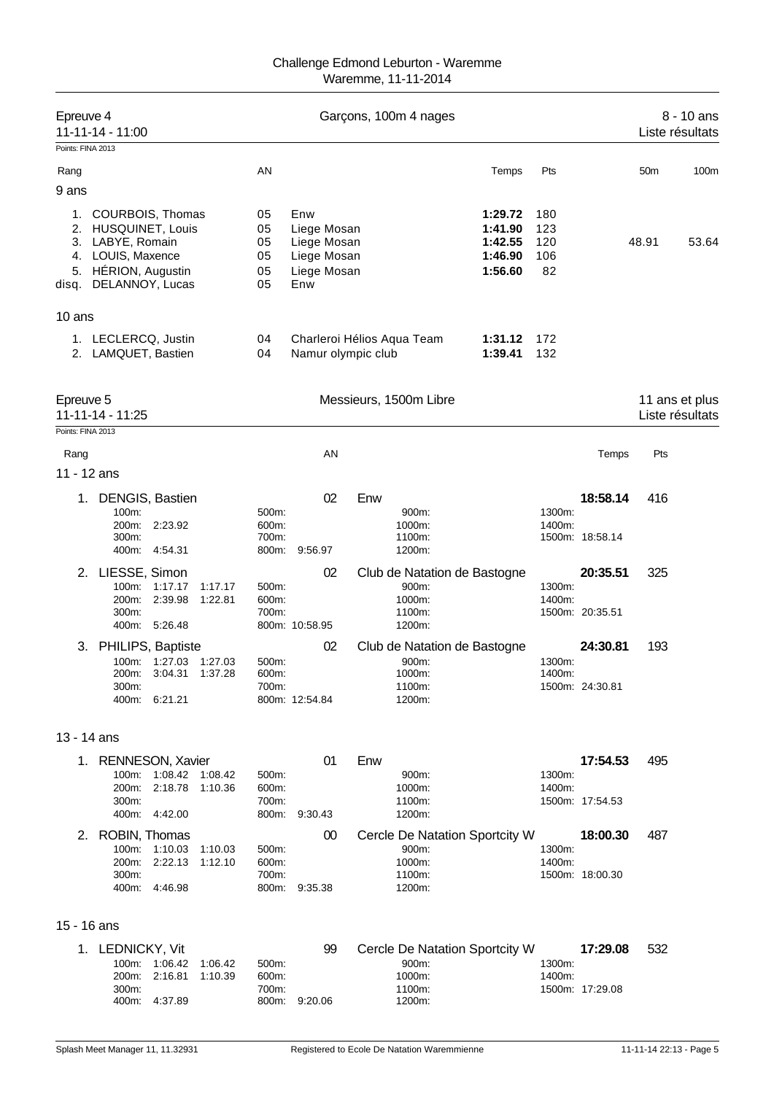| Epreuve 4<br>11-11-14 - 11:00                      |                                      |                            | Garçons, 100m 4 nages          |                    |                  |                 | Liste résultats | 8 - 10 ans     |
|----------------------------------------------------|--------------------------------------|----------------------------|--------------------------------|--------------------|------------------|-----------------|-----------------|----------------|
| Points: FINA 2013                                  |                                      |                            |                                |                    |                  |                 |                 |                |
| Rang                                               | AN                                   |                            |                                | Temps              | Pts              |                 | 50 <sub>m</sub> | 100m           |
| 9 ans                                              |                                      |                            |                                |                    |                  |                 |                 |                |
| 1.<br>COURBOIS, Thomas                             | 05                                   | Enw                        |                                | 1:29.72            | 180              |                 |                 |                |
| 2. HUSQUINET, Louis<br>3. LABYE, Romain            | 05<br>05                             | Liege Mosan<br>Liege Mosan |                                | 1:41.90<br>1:42.55 | 123<br>120       |                 | 48.91           | 53.64          |
| 4. LOUIS, Maxence                                  | 05                                   | Liege Mosan                |                                | 1:46.90            | 106              |                 |                 |                |
| 5. HÉRION, Augustin                                | 05                                   | Liege Mosan                |                                | 1:56.60            | 82               |                 |                 |                |
| DELANNOY, Lucas<br>disq.                           | 05                                   | Enw                        |                                |                    |                  |                 |                 |                |
| 10 ans                                             |                                      |                            |                                |                    |                  |                 |                 |                |
| 1. LECLERCQ, Justin<br>2. LAMQUET, Bastien         | 04<br>04                             | Namur olympic club         | Charleroi Hélios Aqua Team     | 1:31.12<br>1:39.41 | 172<br>132       |                 |                 |                |
| Epreuve 5<br>11-11-14 - 11:25<br>Points: FINA 2013 |                                      |                            | Messieurs, 1500m Libre         |                    |                  |                 | Liste résultats | 11 ans et plus |
| Rang                                               |                                      | AN                         |                                |                    |                  | Temps           | Pts             |                |
| 11 - 12 ans                                        |                                      |                            |                                |                    |                  |                 |                 |                |
| <b>DENGIS, Bastien</b><br>1.                       |                                      | 02                         | Enw                            |                    |                  | 18:58.14        | 416             |                |
| 100m:                                              | 500m:                                |                            | 900m:                          |                    | 1300m:           |                 |                 |                |
| 200m:<br>2:23.92<br>300m:                          | 600m:<br>700m:                       |                            | 1000m:<br>1100m:               |                    | 1400m:           | 1500m: 18:58.14 |                 |                |
| 400m:<br>4.54.31                                   | 800m:                                | 9:56.97                    | 1200m:                         |                    |                  |                 |                 |                |
| 2. LIESSE, Simon                                   |                                      | 02                         | Club de Natation de Bastogne   |                    |                  | 20:35.51        | 325             |                |
| 100m:<br>1:17.17                                   | 1:17.17<br>500m:                     |                            | 900m:                          |                    | 1300m:           |                 |                 |                |
| 200m:<br>2:39.98<br>300m:                          | 1:22.81<br>600m:<br>700m:            |                            | 1000m:<br>1100m:               |                    | 1400m:           | 1500m: 20:35.51 |                 |                |
| 400m: 5:26.48                                      |                                      | 800m: 10:58.95             | 1200m:                         |                    |                  |                 |                 |                |
| 3. PHILIPS, Baptiste                               |                                      | 02                         | Club de Natation de Bastogne   |                    |                  | 24:30.81        | 193             |                |
| 1:27.03<br>100m:<br>200m: 3:04.31                  | 1:27.03<br>500m:<br>1:37.28<br>600m: |                            | 900m:<br>1000m:                |                    | 1300m:<br>1400m: |                 |                 |                |
| 300m:                                              | 700m:                                |                            | 1100m:                         |                    |                  | 1500m: 24:30.81 |                 |                |
| 400m: 6:21.21                                      |                                      | 800m: 12:54.84             | 1200m:                         |                    |                  |                 |                 |                |
| 13 - 14 ans                                        |                                      |                            |                                |                    |                  |                 |                 |                |
| 1. RENNESON, Xavier                                |                                      | 01                         | Enw                            |                    |                  | 17:54.53        | 495             |                |
| 100m: 1:08.42 1:08.42                              | 500m:                                |                            | 900m:                          |                    | 1300m:           |                 |                 |                |
| 200m:<br>2:18.78<br>300m:                          | 1:10.36<br>600m:<br>700m:            |                            | 1000m:<br>1100m:               |                    | 1400m:           | 1500m: 17:54.53 |                 |                |
| 400m: 4:42.00                                      |                                      | 800m: 9:30.43              | 1200m:                         |                    |                  |                 |                 |                |
| 2. ROBIN, Thomas                                   |                                      | 00                         | Cercle De Natation Sportcity W |                    |                  | 18:00.30        | 487             |                |
| 100m: 1:10.03<br>2:22.13<br>200m:                  | 1:10.03<br>500m:<br>1:12.10<br>600m: |                            | 900m:<br>1000m:                |                    | 1300m:<br>1400m: |                 |                 |                |
| 300m:                                              | 700m:                                |                            | 1100m:                         |                    |                  | 1500m: 18:00.30 |                 |                |
| 400m: 4:46.98                                      |                                      | 800m: 9:35.38              | 1200m:                         |                    |                  |                 |                 |                |
| 15 - 16 ans                                        |                                      |                            |                                |                    |                  |                 |                 |                |
| 1. LEDNICKY, Vit                                   |                                      | 99                         | Cercle De Natation Sportcity W |                    |                  | 17:29.08        | 532             |                |
| 100m: 1:06.42                                      | 1:06.42<br>500m:                     |                            | 900m:                          |                    | 1300m:           |                 |                 |                |
| 200m:<br>2:16.81<br>300m:                          | 1:10.39<br>600m:<br>700m:            |                            | 1000m:<br>1100m:               |                    | 1400m:           | 1500m: 17:29.08 |                 |                |
| 400m: 4:37.89                                      |                                      | 800m: 9:20.06              | 1200m:                         |                    |                  |                 |                 |                |
|                                                    |                                      |                            |                                |                    |                  |                 |                 |                |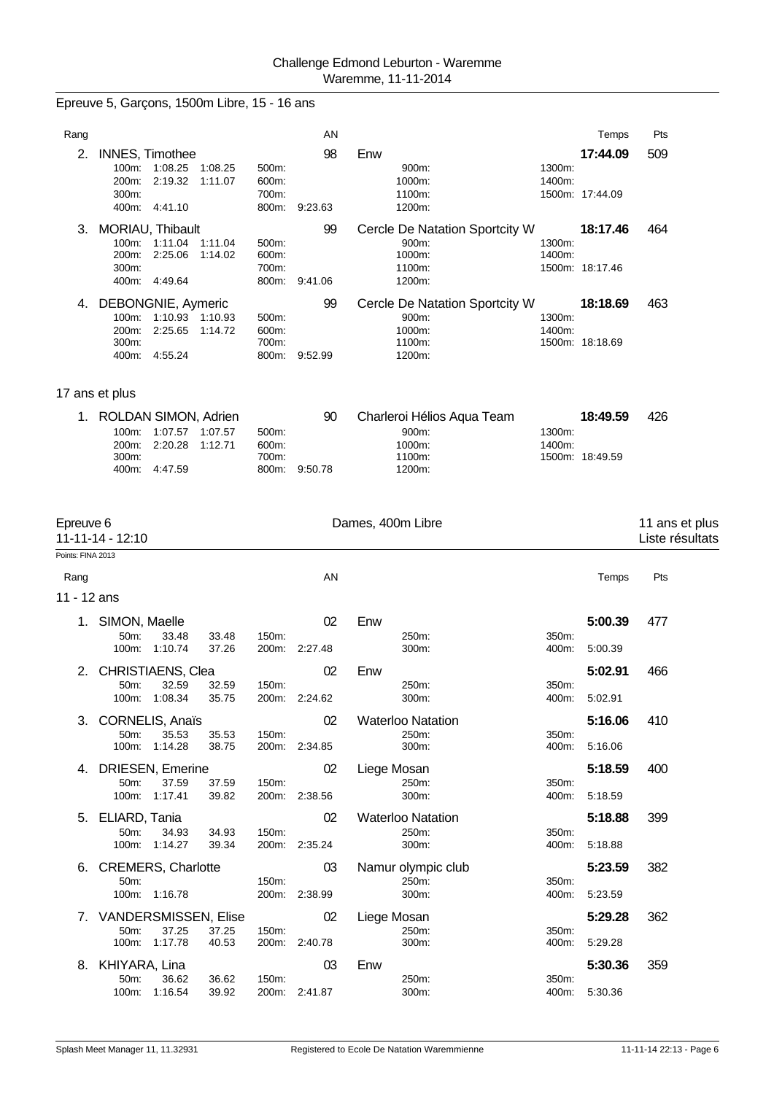| Epreuve 5, Garçons, 1500m Libre, 15 - 16 ans |  |  |  |
|----------------------------------------------|--|--|--|
|----------------------------------------------|--|--|--|

| Rang                           |                                                                                                              |                         | AN                  |                                                                       |                  | Temps                       | Pts                               |
|--------------------------------|--------------------------------------------------------------------------------------------------------------|-------------------------|---------------------|-----------------------------------------------------------------------|------------------|-----------------------------|-----------------------------------|
| 2.                             | <b>INNES, Timothee</b><br>100m: 1:08.25<br>1:08.25<br>200m:<br>2:19.32<br>1:11.07<br>300m:<br>400m: 4:41.10  | 500m:<br>600m:<br>700m: | 98<br>800m: 9:23.63 | Enw<br>900m:<br>1000m:<br>1100m:<br>1200m:                            | 1300m:<br>1400m: | 17:44.09<br>1500m: 17:44.09 | 509                               |
|                                | 3. MORIAU, Thibault<br>100m: 1:11.04<br>1:11.04<br>200m: 2:25.06<br>1:14.02<br>300m:<br>400m: 4:49.64        | 500m:<br>600m:<br>700m: | 99<br>800m: 9:41.06 | Cercle De Natation Sportcity W<br>900m:<br>1000m:<br>1100m:<br>1200m: | 1300m:<br>1400m: | 18:17.46<br>1500m: 18:17.46 | 464                               |
|                                | 4. DEBONGNIE, Aymeric<br>100m: 1:10.93 1:10.93<br>200m:<br>2:25.65<br>1:14.72<br>300m:<br>400m: 4:55.24      | 500m:<br>600m:<br>700m: | 99<br>800m: 9:52.99 | Cercle De Natation Sportcity W<br>900m:<br>1000m:<br>1100m:<br>1200m: | 1300m:<br>1400m: | 18:18.69<br>1500m: 18:18.69 | 463                               |
|                                | 17 ans et plus                                                                                               |                         |                     |                                                                       |                  |                             |                                   |
|                                | 1. ROLDAN SIMON, Adrien<br>100m:<br>1:07.57 1:07.57<br>200m:<br>2:20.28<br>1:12.71<br>300m:<br>400m: 4:47.59 | 500m:<br>600m:<br>700m: | 90<br>800m: 9:50.78 | Charleroi Hélios Aqua Team<br>900m:<br>1000m:<br>1100m:<br>1200m:     | 1300m:<br>1400m: | 18:49.59<br>1500m: 18:49.59 | 426                               |
| Epreuve 6<br>Points: FINA 2013 | 11-11-14 - 12:10                                                                                             |                         |                     | Dames, 400m Libre                                                     |                  |                             | 11 ans et plus<br>Liste résultats |
| Rang                           |                                                                                                              |                         | AN                  |                                                                       |                  | Temps                       | Pts                               |
| 11 - 12 ans                    |                                                                                                              |                         |                     |                                                                       |                  |                             |                                   |
| 1.                             | SIMON, Maelle<br>50m:<br>33.48<br>33.48<br>100m: 1:10.74<br>37.26                                            | 150m:                   | 02<br>200m: 2:27.48 | Enw<br>250m:<br>300m:                                                 | 350m:<br>400m:   | 5:00.39<br>5:00.39          | 477                               |
| 2.                             | <b>CHRISTIAENS, Clea</b><br>50m:<br>32.59<br>32.59<br>100m: 1:08.34<br>35.75                                 | 150m:<br>200m:          | 02<br>2:24.62       | Enw<br>250m:<br>300m:                                                 | 350m:<br>400m.   | 5:02.91<br>5:02.91          | 466                               |
|                                | 3. CORNELIS, Anaïs<br>50m:<br>35.53<br>35.53<br>100m: 1:14.28<br>38.75                                       | 150m:                   | 02<br>200m: 2:34.85 | <b>Waterloo Natation</b><br>250m:<br>300m:                            | 350m:<br>400m:   | 5:16.06<br>5:16.06          | 410                               |
|                                | 4. DRIESEN, Emerine<br>50m:<br>37.59<br>37.59<br>100m: 1:17.41<br>39.82                                      | 150m:                   | 02<br>200m: 2:38.56 | Liege Mosan<br>250m:<br>300m:                                         | 350m:<br>400m:   | 5:18.59<br>5:18.59          | 400                               |
|                                | 5. ELIARD, Tania<br>50m:<br>34.93<br>34.93<br>100m: 1:14.27<br>39.34                                         | 150m:                   | 02<br>200m: 2:35.24 | <b>Waterloo Natation</b><br>250m:<br>300m:                            | 350m:<br>400m:   | 5:18.88<br>5:18.88          | 399                               |
| 6.                             | <b>CREMERS, Charlotte</b><br>50m:<br>100m: 1:16.78                                                           | 150m:                   | 03<br>200m: 2:38.99 | Namur olympic club<br>250m:<br>300m:                                  | 350m:<br>400m:   | 5:23.59<br>5:23.59          | 382                               |
|                                | 7. VANDERSMISSEN, Elise<br>50m:<br>37.25<br>37.25<br>100m: 1:17.78<br>40.53                                  | 150m:                   | 02<br>200m: 2:40.78 | Liege Mosan<br>250m:<br>300m:                                         | 350m:<br>400m:   | 5:29.28<br>5:29.28          | 362                               |
|                                | 8. KHIYARA, Lina<br>50m:<br>36.62<br>36.62<br>100m: 1:16.54<br>39.92                                         | 150m:                   | 03<br>200m: 2:41.87 | Enw<br>250m:<br>300m:                                                 | 350m:            | 5:30.36<br>400m: 5:30.36    | 359                               |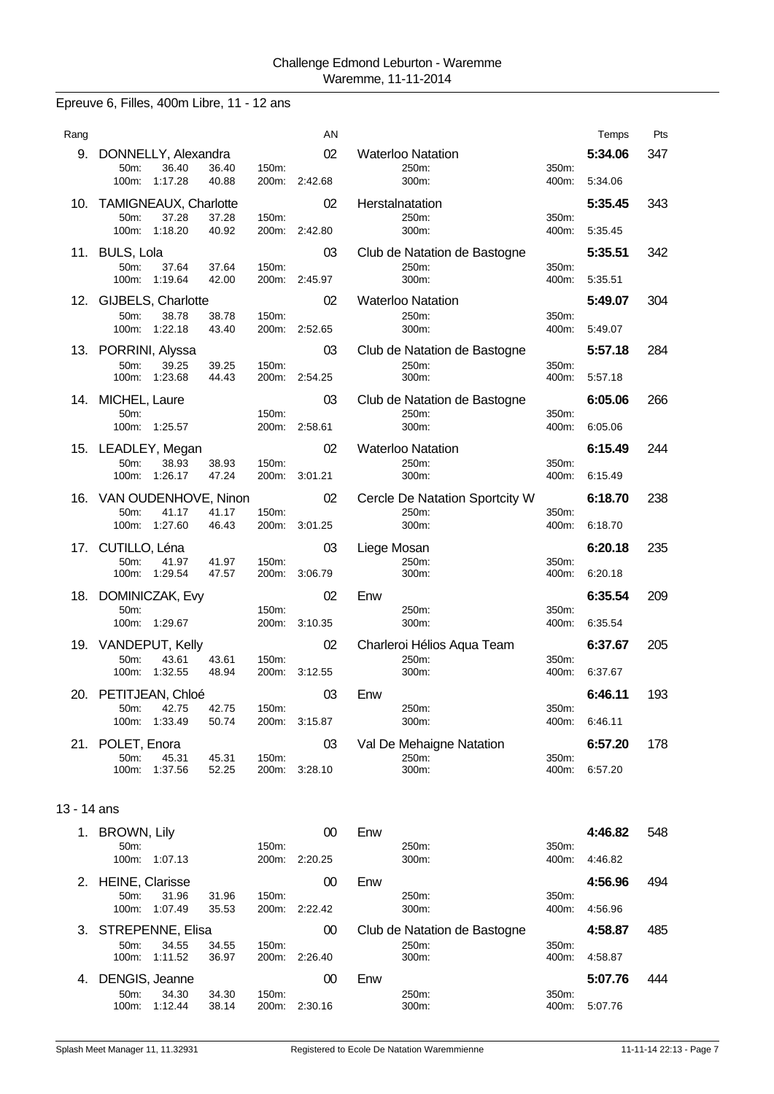Epreuve 6, Filles, 400m Libre, 11 - 12 ans

| 5:34.06<br>9.<br>DONNELLY, Alexandra<br>02<br><b>Waterloo Natation</b><br>36.40<br>50m:<br>36.40<br>250m:<br>350m:<br>150m:<br>$100m$ :<br>1:17.28<br>40.88<br>2:42.68<br>300m:<br>200m:<br>400m:<br>5:34.06<br>10. TAMIGNEAUX, Charlotte<br>02<br>Herstalnatation<br>5:35.45<br>50m:<br>37.28<br>37.28<br>150m:<br>250m:<br>350m:<br>100m:<br>1:18.20<br>40.92<br>200m:<br>2:42.80<br>300m:<br>400m:<br>5:35.45<br>11. BULS, Lola<br>03<br>Club de Natation de Bastogne<br>5:35.51<br>50m:<br>37.64<br>37.64<br>150m:<br>250m:<br>350m:<br>100m: 1:19.64<br>300m:<br>42.00<br>200m: 2:45.97<br>400m:<br>5:35.51<br>12. GIJBELS, Charlotte<br><b>Waterloo Natation</b><br>02<br>5:49.07<br>50m:<br>38.78<br>38.78<br>150m:<br>250m:<br>350m:<br>100m: 1:22.18<br>43.40<br>200m: 2:52.65<br>300m:<br>400m:<br>5:49.07<br>13. PORRINI, Alyssa<br>03<br>Club de Natation de Bastogne<br>5:57.18<br>39.25<br>50m:<br>39.25<br>150m:<br>250m:<br>350m:<br>100m:<br>1:23.68<br>44.43<br>200m:<br>300m:<br>400m:<br>2:54.25<br>5.57.18<br>14. MICHEL, Laure<br>03<br>Club de Natation de Bastogne<br>6:05.06<br>350m:<br>50m:<br>150m:<br>250m:<br>100m: 1:25.57<br>200m: 2:58.61<br>300m:<br>400m:<br>6:05.06<br>15. LEADLEY, Megan<br>02<br><b>Waterloo Natation</b><br>6:15.49<br>50m:<br>38.93<br>150m:<br>250m:<br>350m:<br>38.93<br>100m:<br>1:26.17<br>47.24<br>200m:<br>300m:<br>400m:<br>6:15.49<br>3:01.21<br>16. VAN OUDENHOVE, Ninon<br>02<br>Cercle De Natation Sportcity W<br>6:18.70<br>41.17<br>41.17<br>150m:<br>250m:<br>350m:<br>50 <sub>m</sub> :<br>100m: 1:27.60<br>46.43<br>200m:<br>3:01.25<br>300m:<br>400m:<br>6:18.70<br>17. CUTILLO, Léna<br>03<br>6:20.18<br>Liege Mosan<br>50m:<br>41.97<br>41.97<br>150m:<br>250m:<br>350m:<br>100m: 1:29.54<br>47.57<br>200m:<br>3:06.79<br>300m:<br>6:20.18<br>400m:<br>18. DOMINICZAK, Evy<br>02<br>Enw<br>6:35.54<br>50m:<br>150m:<br>250m:<br>350m:<br>100m: 1:29.67<br>200m: 3:10.35<br>300m:<br>400m:<br>6:35.54 | 347<br>343 |
|---------------------------------------------------------------------------------------------------------------------------------------------------------------------------------------------------------------------------------------------------------------------------------------------------------------------------------------------------------------------------------------------------------------------------------------------------------------------------------------------------------------------------------------------------------------------------------------------------------------------------------------------------------------------------------------------------------------------------------------------------------------------------------------------------------------------------------------------------------------------------------------------------------------------------------------------------------------------------------------------------------------------------------------------------------------------------------------------------------------------------------------------------------------------------------------------------------------------------------------------------------------------------------------------------------------------------------------------------------------------------------------------------------------------------------------------------------------------------------------------------------------------------------------------------------------------------------------------------------------------------------------------------------------------------------------------------------------------------------------------------------------------------------------------------------------------------------------------------------------------------------------------------------------------------------------------------------------------------------|------------|
|                                                                                                                                                                                                                                                                                                                                                                                                                                                                                                                                                                                                                                                                                                                                                                                                                                                                                                                                                                                                                                                                                                                                                                                                                                                                                                                                                                                                                                                                                                                                                                                                                                                                                                                                                                                                                                                                                                                                                                                 |            |
|                                                                                                                                                                                                                                                                                                                                                                                                                                                                                                                                                                                                                                                                                                                                                                                                                                                                                                                                                                                                                                                                                                                                                                                                                                                                                                                                                                                                                                                                                                                                                                                                                                                                                                                                                                                                                                                                                                                                                                                 |            |
|                                                                                                                                                                                                                                                                                                                                                                                                                                                                                                                                                                                                                                                                                                                                                                                                                                                                                                                                                                                                                                                                                                                                                                                                                                                                                                                                                                                                                                                                                                                                                                                                                                                                                                                                                                                                                                                                                                                                                                                 | 342        |
|                                                                                                                                                                                                                                                                                                                                                                                                                                                                                                                                                                                                                                                                                                                                                                                                                                                                                                                                                                                                                                                                                                                                                                                                                                                                                                                                                                                                                                                                                                                                                                                                                                                                                                                                                                                                                                                                                                                                                                                 | 304        |
|                                                                                                                                                                                                                                                                                                                                                                                                                                                                                                                                                                                                                                                                                                                                                                                                                                                                                                                                                                                                                                                                                                                                                                                                                                                                                                                                                                                                                                                                                                                                                                                                                                                                                                                                                                                                                                                                                                                                                                                 | 284        |
|                                                                                                                                                                                                                                                                                                                                                                                                                                                                                                                                                                                                                                                                                                                                                                                                                                                                                                                                                                                                                                                                                                                                                                                                                                                                                                                                                                                                                                                                                                                                                                                                                                                                                                                                                                                                                                                                                                                                                                                 | 266        |
|                                                                                                                                                                                                                                                                                                                                                                                                                                                                                                                                                                                                                                                                                                                                                                                                                                                                                                                                                                                                                                                                                                                                                                                                                                                                                                                                                                                                                                                                                                                                                                                                                                                                                                                                                                                                                                                                                                                                                                                 | 244        |
|                                                                                                                                                                                                                                                                                                                                                                                                                                                                                                                                                                                                                                                                                                                                                                                                                                                                                                                                                                                                                                                                                                                                                                                                                                                                                                                                                                                                                                                                                                                                                                                                                                                                                                                                                                                                                                                                                                                                                                                 | 238        |
|                                                                                                                                                                                                                                                                                                                                                                                                                                                                                                                                                                                                                                                                                                                                                                                                                                                                                                                                                                                                                                                                                                                                                                                                                                                                                                                                                                                                                                                                                                                                                                                                                                                                                                                                                                                                                                                                                                                                                                                 | 235        |
|                                                                                                                                                                                                                                                                                                                                                                                                                                                                                                                                                                                                                                                                                                                                                                                                                                                                                                                                                                                                                                                                                                                                                                                                                                                                                                                                                                                                                                                                                                                                                                                                                                                                                                                                                                                                                                                                                                                                                                                 | 209        |
| 19. VANDEPUT, Kelly<br>Charleroi Hélios Aqua Team<br>02<br>6:37.67<br>50m:<br>43.61<br>250m:<br>350m:<br>43.61<br>150m.<br>100m: 1:32.55<br>48.94<br>200m. 3:12.55<br>300m:<br>400m:<br>6:37.67                                                                                                                                                                                                                                                                                                                                                                                                                                                                                                                                                                                                                                                                                                                                                                                                                                                                                                                                                                                                                                                                                                                                                                                                                                                                                                                                                                                                                                                                                                                                                                                                                                                                                                                                                                                 | 205        |
| 20.<br>PETITJEAN, Chloé<br>03<br>Enw<br>6:46.11<br>42.75<br>50m:<br>42.75<br>150m:<br>250m:<br>350m:<br>100m:<br>1:33.49<br>50.74<br>200m:<br>3:15.87<br>300m:<br>400m:<br>6:46.11                                                                                                                                                                                                                                                                                                                                                                                                                                                                                                                                                                                                                                                                                                                                                                                                                                                                                                                                                                                                                                                                                                                                                                                                                                                                                                                                                                                                                                                                                                                                                                                                                                                                                                                                                                                              | 193        |
| 03<br>Val De Mehaigne Natation<br>6:57.20<br>21.<br>POLET, Enora<br>45.31<br>250m:<br>350m:<br>50m:<br>45.31<br>150m:<br>200m: 3:28.10<br>100m: 1:37.56<br>52.25<br>300m:<br>6:57.20<br>400m:                                                                                                                                                                                                                                                                                                                                                                                                                                                                                                                                                                                                                                                                                                                                                                                                                                                                                                                                                                                                                                                                                                                                                                                                                                                                                                                                                                                                                                                                                                                                                                                                                                                                                                                                                                                   | 178        |

# 13 - 14 ans

|                   |       |                                                                                                            |                     | 00      | Enw                          |          | 4:46.82 | 548 |
|-------------------|-------|------------------------------------------------------------------------------------------------------------|---------------------|---------|------------------------------|----------|---------|-----|
| 50 <sub>m</sub> : |       |                                                                                                            | $150m$ :            |         | 250m:                        | 350m:    |         |     |
| 100m:             |       |                                                                                                            | 200m:               | 2:20.25 | 300m:                        | 400m:    | 4:46.82 |     |
|                   |       |                                                                                                            |                     | 00      | Enw                          |          | 4:56.96 | 494 |
| 50 <sub>m</sub> : | 31.96 | 31.96                                                                                                      | 150m:               |         | 250m:                        | 350m:    |         |     |
| $100m$ :          |       | 35.53                                                                                                      | 200m:               | 2:22.42 | 300m:                        | 400m:    | 4:56.96 |     |
|                   |       |                                                                                                            |                     | 00      | Club de Natation de Bastogne |          | 4:58.87 | 485 |
| $50m$ :           | 34.55 | 34.55                                                                                                      | 150m:               |         | 250m:                        | 350m:    |         |     |
| $100m$ :          |       | 36.97                                                                                                      | 200m:               | 2:26.40 | 300m:                        | 400m:    | 4:58.87 |     |
|                   |       |                                                                                                            |                     | 00      | Enw                          |          | 5:07.76 | 444 |
| 50m               | 34.30 | 34.30                                                                                                      | $150m$ :            |         | 250m:                        | $350m$ : |         |     |
| $100m$ :          |       | 38.14                                                                                                      | 200 <sub>m</sub> :  | 2:30.16 | 300m:                        | 400m:    | 5:07.76 |     |
|                   |       | <b>BROWN, Lily</b><br>1:07.13<br><b>HEINE, Clarisse</b><br>1:07.49<br>1:11.52<br>DENGIS, Jeanne<br>1:12.44 | 3. STREPENNE, Elisa |         |                              |          |         |     |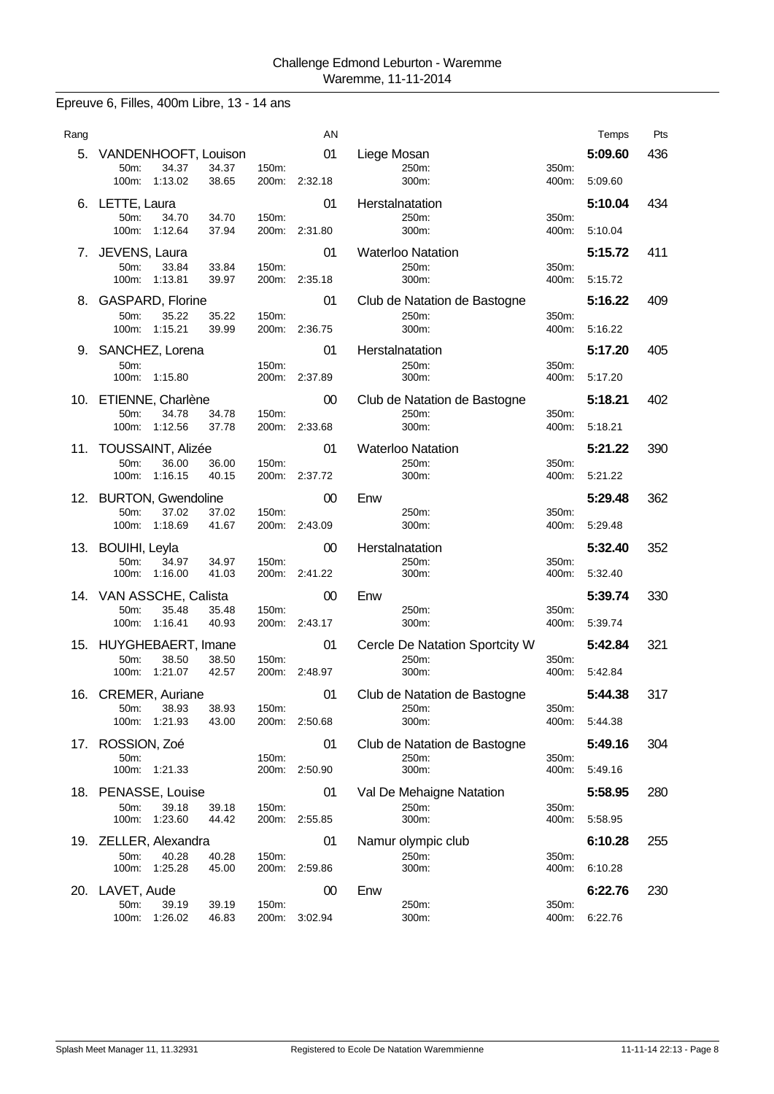Epreuve 6, Filles, 400m Libre, 13 - 14 ans

| ΑN<br>Temps<br>Rang<br>5.<br>VANDENHOOFT, Louison<br>01<br>Liege Mosan<br>5:09.60<br>50m:<br>34.37<br>34.37<br>150m:<br>250m:<br>350m:<br>100m: 1:13.02<br>38.65<br>200m:<br>2:32.18<br>300m:<br>5:09.60<br>400m:<br>LETTE, Laura<br>01<br>Herstalnatation<br>5:10.04<br>6.<br>50m:<br>34.70<br>34.70<br>150m:<br>250m:<br>350m:<br>100m:<br>1:12.64<br>37.94<br>200m:<br>2:31.80<br>300m:<br>5:10.04<br>400m:<br>5:15.72<br>7. JEVENS, Laura<br>01<br><b>Waterloo Natation</b><br>50m:<br>250m:<br>350m:<br>33.84<br>33.84<br>150m:<br>100m:<br>1:13.81<br>39.97<br>200m: 2:35.18<br>300m:<br>400m:<br>5:15.72<br>8. GASPARD, Florine<br>01<br>5:16.22<br>Club de Natation de Bastogne<br>50m:<br>35.22<br>35.22<br>350m:<br>150m:<br>250m:<br>100m:<br>1:15.21<br>39.99<br>300m:<br>5:16.22<br>200m:<br>2:36.75<br>400m:<br>9. SANCHEZ, Lorena<br>01<br>5:17.20<br>Herstalnatation<br>50m:<br>150m:<br>250m:<br>350m:<br>100m:<br>1:15.80<br>200m: 2:37.89<br>300m:<br>400m:<br>5:17.20<br>ETIENNE, Charlène<br>5:18.21<br>00<br>Club de Natation de Bastogne<br>10.<br>$50m$ :<br>34.78<br>34.78<br>250m:<br>350m:<br>150m:<br>100m:<br>1:12.56<br>37.78<br>2:33.68<br>300m:<br>200m:<br>400m:<br>5:18.21<br>11. TOUSSAINT, Alizée<br>5:21.22<br>01<br><b>Waterloo Natation</b><br>36.00<br>50m:<br>36.00<br>150m:<br>250m:<br>350m:<br>100m: 1:16.15<br>40.15<br>200m: 2:37.72<br>5:21.22<br>300m:<br>400m:<br>12. BURTON, Gwendoline<br>00<br>Enw<br>5:29.48<br>50m:<br>37.02<br>37.02<br>150m:<br>350m:<br>250m:<br>1:18.69<br>100m:<br>41.67<br>200m:<br>2:43.09<br>300m:<br>5:29.48<br>400m:<br>00<br>5:32.40<br>13. BOUIHI, Leyla<br>Herstalnatation<br>50m:<br>34.97<br>34.97<br>150m:<br>250m:<br>350m:<br>100m:<br>1:16.00<br>41.03<br>2:41.22<br>5:32.40<br>200m:<br>300m:<br>400m: | Pts<br>436<br>434<br>411<br>409<br>405<br>402<br>390<br>362<br>352 |
|--------------------------------------------------------------------------------------------------------------------------------------------------------------------------------------------------------------------------------------------------------------------------------------------------------------------------------------------------------------------------------------------------------------------------------------------------------------------------------------------------------------------------------------------------------------------------------------------------------------------------------------------------------------------------------------------------------------------------------------------------------------------------------------------------------------------------------------------------------------------------------------------------------------------------------------------------------------------------------------------------------------------------------------------------------------------------------------------------------------------------------------------------------------------------------------------------------------------------------------------------------------------------------------------------------------------------------------------------------------------------------------------------------------------------------------------------------------------------------------------------------------------------------------------------------------------------------------------------------------------------------------------------------------------------------------------------------------------------------------------------------------------------------------------------|--------------------------------------------------------------------|
|                                                                                                                                                                                                                                                                                                                                                                                                                                                                                                                                                                                                                                                                                                                                                                                                                                                                                                                                                                                                                                                                                                                                                                                                                                                                                                                                                                                                                                                                                                                                                                                                                                                                                                                                                                                                  |                                                                    |
|                                                                                                                                                                                                                                                                                                                                                                                                                                                                                                                                                                                                                                                                                                                                                                                                                                                                                                                                                                                                                                                                                                                                                                                                                                                                                                                                                                                                                                                                                                                                                                                                                                                                                                                                                                                                  |                                                                    |
|                                                                                                                                                                                                                                                                                                                                                                                                                                                                                                                                                                                                                                                                                                                                                                                                                                                                                                                                                                                                                                                                                                                                                                                                                                                                                                                                                                                                                                                                                                                                                                                                                                                                                                                                                                                                  |                                                                    |
|                                                                                                                                                                                                                                                                                                                                                                                                                                                                                                                                                                                                                                                                                                                                                                                                                                                                                                                                                                                                                                                                                                                                                                                                                                                                                                                                                                                                                                                                                                                                                                                                                                                                                                                                                                                                  |                                                                    |
|                                                                                                                                                                                                                                                                                                                                                                                                                                                                                                                                                                                                                                                                                                                                                                                                                                                                                                                                                                                                                                                                                                                                                                                                                                                                                                                                                                                                                                                                                                                                                                                                                                                                                                                                                                                                  |                                                                    |
|                                                                                                                                                                                                                                                                                                                                                                                                                                                                                                                                                                                                                                                                                                                                                                                                                                                                                                                                                                                                                                                                                                                                                                                                                                                                                                                                                                                                                                                                                                                                                                                                                                                                                                                                                                                                  |                                                                    |
|                                                                                                                                                                                                                                                                                                                                                                                                                                                                                                                                                                                                                                                                                                                                                                                                                                                                                                                                                                                                                                                                                                                                                                                                                                                                                                                                                                                                                                                                                                                                                                                                                                                                                                                                                                                                  |                                                                    |
|                                                                                                                                                                                                                                                                                                                                                                                                                                                                                                                                                                                                                                                                                                                                                                                                                                                                                                                                                                                                                                                                                                                                                                                                                                                                                                                                                                                                                                                                                                                                                                                                                                                                                                                                                                                                  |                                                                    |
|                                                                                                                                                                                                                                                                                                                                                                                                                                                                                                                                                                                                                                                                                                                                                                                                                                                                                                                                                                                                                                                                                                                                                                                                                                                                                                                                                                                                                                                                                                                                                                                                                                                                                                                                                                                                  |                                                                    |
|                                                                                                                                                                                                                                                                                                                                                                                                                                                                                                                                                                                                                                                                                                                                                                                                                                                                                                                                                                                                                                                                                                                                                                                                                                                                                                                                                                                                                                                                                                                                                                                                                                                                                                                                                                                                  |                                                                    |
|                                                                                                                                                                                                                                                                                                                                                                                                                                                                                                                                                                                                                                                                                                                                                                                                                                                                                                                                                                                                                                                                                                                                                                                                                                                                                                                                                                                                                                                                                                                                                                                                                                                                                                                                                                                                  |                                                                    |
|                                                                                                                                                                                                                                                                                                                                                                                                                                                                                                                                                                                                                                                                                                                                                                                                                                                                                                                                                                                                                                                                                                                                                                                                                                                                                                                                                                                                                                                                                                                                                                                                                                                                                                                                                                                                  |                                                                    |
|                                                                                                                                                                                                                                                                                                                                                                                                                                                                                                                                                                                                                                                                                                                                                                                                                                                                                                                                                                                                                                                                                                                                                                                                                                                                                                                                                                                                                                                                                                                                                                                                                                                                                                                                                                                                  |                                                                    |
|                                                                                                                                                                                                                                                                                                                                                                                                                                                                                                                                                                                                                                                                                                                                                                                                                                                                                                                                                                                                                                                                                                                                                                                                                                                                                                                                                                                                                                                                                                                                                                                                                                                                                                                                                                                                  |                                                                    |
|                                                                                                                                                                                                                                                                                                                                                                                                                                                                                                                                                                                                                                                                                                                                                                                                                                                                                                                                                                                                                                                                                                                                                                                                                                                                                                                                                                                                                                                                                                                                                                                                                                                                                                                                                                                                  |                                                                    |
|                                                                                                                                                                                                                                                                                                                                                                                                                                                                                                                                                                                                                                                                                                                                                                                                                                                                                                                                                                                                                                                                                                                                                                                                                                                                                                                                                                                                                                                                                                                                                                                                                                                                                                                                                                                                  |                                                                    |
|                                                                                                                                                                                                                                                                                                                                                                                                                                                                                                                                                                                                                                                                                                                                                                                                                                                                                                                                                                                                                                                                                                                                                                                                                                                                                                                                                                                                                                                                                                                                                                                                                                                                                                                                                                                                  |                                                                    |
|                                                                                                                                                                                                                                                                                                                                                                                                                                                                                                                                                                                                                                                                                                                                                                                                                                                                                                                                                                                                                                                                                                                                                                                                                                                                                                                                                                                                                                                                                                                                                                                                                                                                                                                                                                                                  |                                                                    |
|                                                                                                                                                                                                                                                                                                                                                                                                                                                                                                                                                                                                                                                                                                                                                                                                                                                                                                                                                                                                                                                                                                                                                                                                                                                                                                                                                                                                                                                                                                                                                                                                                                                                                                                                                                                                  |                                                                    |
|                                                                                                                                                                                                                                                                                                                                                                                                                                                                                                                                                                                                                                                                                                                                                                                                                                                                                                                                                                                                                                                                                                                                                                                                                                                                                                                                                                                                                                                                                                                                                                                                                                                                                                                                                                                                  |                                                                    |
|                                                                                                                                                                                                                                                                                                                                                                                                                                                                                                                                                                                                                                                                                                                                                                                                                                                                                                                                                                                                                                                                                                                                                                                                                                                                                                                                                                                                                                                                                                                                                                                                                                                                                                                                                                                                  |                                                                    |
| 14. VAN ASSCHE, Calista<br>5:39.74<br>00<br>Enw<br>35.48<br>350m:<br>50m:<br>35.48<br>150m:<br>250m:                                                                                                                                                                                                                                                                                                                                                                                                                                                                                                                                                                                                                                                                                                                                                                                                                                                                                                                                                                                                                                                                                                                                                                                                                                                                                                                                                                                                                                                                                                                                                                                                                                                                                             | 330                                                                |
| 100m:<br>1:16.41<br>40.93<br>200m: 2:43.17<br>5:39.74<br>300m:<br>400m:                                                                                                                                                                                                                                                                                                                                                                                                                                                                                                                                                                                                                                                                                                                                                                                                                                                                                                                                                                                                                                                                                                                                                                                                                                                                                                                                                                                                                                                                                                                                                                                                                                                                                                                          |                                                                    |
| 15. HUYGHEBAERT, Imane<br>01<br>Cercle De Natation Sportcity W<br>5:42.84                                                                                                                                                                                                                                                                                                                                                                                                                                                                                                                                                                                                                                                                                                                                                                                                                                                                                                                                                                                                                                                                                                                                                                                                                                                                                                                                                                                                                                                                                                                                                                                                                                                                                                                        | 321                                                                |
| 50m:<br>38.50<br>38.50<br>250m:<br>150m:<br>1:21.07<br>42.57<br>200m:<br>300m:<br>5:42.84<br>100m:<br>2:48.97<br>400m:                                                                                                                                                                                                                                                                                                                                                                                                                                                                                                                                                                                                                                                                                                                                                                                                                                                                                                                                                                                                                                                                                                                                                                                                                                                                                                                                                                                                                                                                                                                                                                                                                                                                           |                                                                    |
| 16. CREMER, Auriane<br>01<br>Club de Natation de Bastogne<br>5:44.38                                                                                                                                                                                                                                                                                                                                                                                                                                                                                                                                                                                                                                                                                                                                                                                                                                                                                                                                                                                                                                                                                                                                                                                                                                                                                                                                                                                                                                                                                                                                                                                                                                                                                                                             | 350m:                                                              |
| 150m:<br>350m:<br>50m:<br>38.93<br>38.93<br>250m:<br>100m:<br>1:21.93<br>43.00<br>200m:<br>300m:                                                                                                                                                                                                                                                                                                                                                                                                                                                                                                                                                                                                                                                                                                                                                                                                                                                                                                                                                                                                                                                                                                                                                                                                                                                                                                                                                                                                                                                                                                                                                                                                                                                                                                 | 317                                                                |
| 2:50.68                                                                                                                                                                                                                                                                                                                                                                                                                                                                                                                                                                                                                                                                                                                                                                                                                                                                                                                                                                                                                                                                                                                                                                                                                                                                                                                                                                                                                                                                                                                                                                                                                                                                                                                                                                                          |                                                                    |
| ROSSION, Zoé<br>01<br>17.<br>Club de Natation de Bastogne<br>50m:<br>150m:<br>250m:<br>350m:                                                                                                                                                                                                                                                                                                                                                                                                                                                                                                                                                                                                                                                                                                                                                                                                                                                                                                                                                                                                                                                                                                                                                                                                                                                                                                                                                                                                                                                                                                                                                                                                                                                                                                     | 400m:<br>5:44.38                                                   |
| 100m:<br>1:21.33<br>5:49.16<br>200m:<br>2:50.90<br>300m:<br>400m:                                                                                                                                                                                                                                                                                                                                                                                                                                                                                                                                                                                                                                                                                                                                                                                                                                                                                                                                                                                                                                                                                                                                                                                                                                                                                                                                                                                                                                                                                                                                                                                                                                                                                                                                | 5:49.16<br>304                                                     |
| 18. PENASSE, Louise<br>01<br>5:58.95<br>Val De Mehaigne Natation<br>50m:<br>250m:                                                                                                                                                                                                                                                                                                                                                                                                                                                                                                                                                                                                                                                                                                                                                                                                                                                                                                                                                                                                                                                                                                                                                                                                                                                                                                                                                                                                                                                                                                                                                                                                                                                                                                                |                                                                    |
| 39.18<br>39.18<br>150m:<br>100m:<br>1:23.60<br>300m:<br>5:58.95<br>44.42<br>200m:<br>2:55.85<br>400m:                                                                                                                                                                                                                                                                                                                                                                                                                                                                                                                                                                                                                                                                                                                                                                                                                                                                                                                                                                                                                                                                                                                                                                                                                                                                                                                                                                                                                                                                                                                                                                                                                                                                                            | 280                                                                |
|                                                                                                                                                                                                                                                                                                                                                                                                                                                                                                                                                                                                                                                                                                                                                                                                                                                                                                                                                                                                                                                                                                                                                                                                                                                                                                                                                                                                                                                                                                                                                                                                                                                                                                                                                                                                  | 350m:                                                              |
| 19. ZELLER, Alexandra<br>01<br>Namur olympic club<br>6:10.28                                                                                                                                                                                                                                                                                                                                                                                                                                                                                                                                                                                                                                                                                                                                                                                                                                                                                                                                                                                                                                                                                                                                                                                                                                                                                                                                                                                                                                                                                                                                                                                                                                                                                                                                     | 255                                                                |
| 50m:<br>40.28<br>250m:<br>40.28<br>150m:<br>350m:<br>100m:<br>1:25.28<br>45.00<br>200m:<br>2:59.86<br>300m:<br>400m:<br>6:10.28                                                                                                                                                                                                                                                                                                                                                                                                                                                                                                                                                                                                                                                                                                                                                                                                                                                                                                                                                                                                                                                                                                                                                                                                                                                                                                                                                                                                                                                                                                                                                                                                                                                                  |                                                                    |
| 20. LAVET, Aude<br>Enw<br>6:22.76<br>00                                                                                                                                                                                                                                                                                                                                                                                                                                                                                                                                                                                                                                                                                                                                                                                                                                                                                                                                                                                                                                                                                                                                                                                                                                                                                                                                                                                                                                                                                                                                                                                                                                                                                                                                                          | 230                                                                |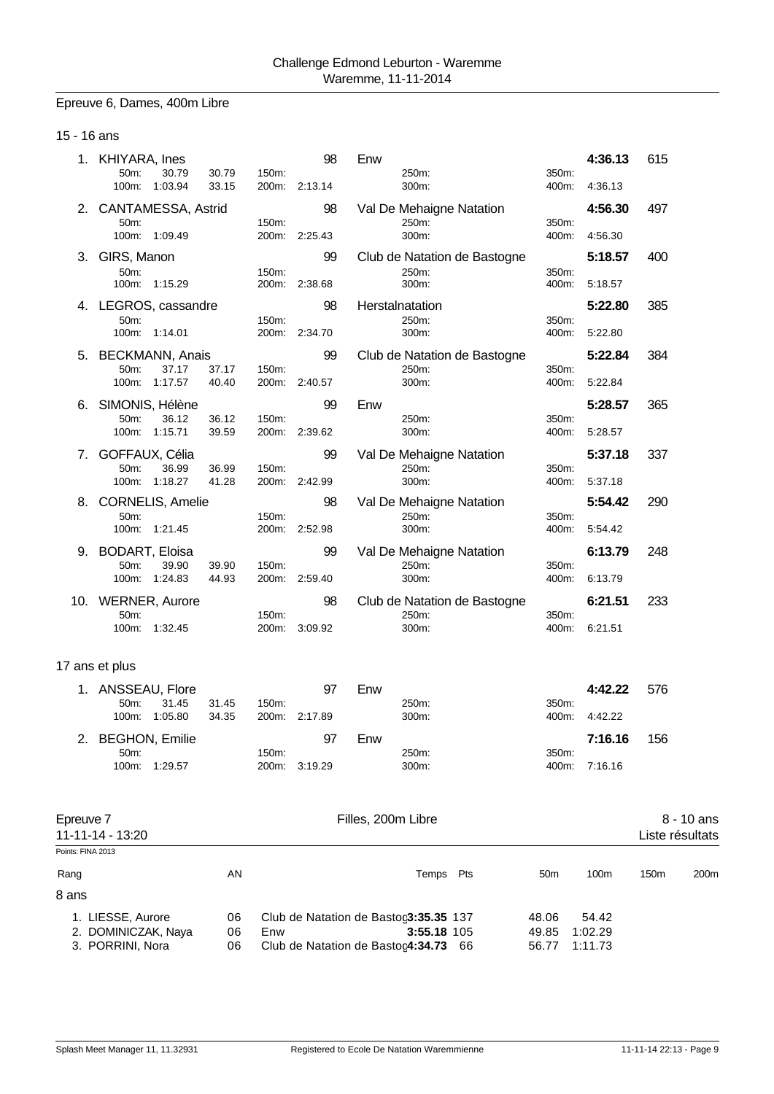#### Epreuve 6, Dames, 400m Libre

### 15 - 16 ans

|     | KHIYARA, Ines<br>50m:<br>30.79<br>1:03.94<br>100m:          | 30.79<br>150m:<br>33.15<br>200m: | 98<br>2:13.14       | Enw<br>250m:<br>300m:                          | 350m:<br>400m: | 4:36.13<br>4:36.13 | 615 |
|-----|-------------------------------------------------------------|----------------------------------|---------------------|------------------------------------------------|----------------|--------------------|-----|
| 2.  | CANTAMESSA, Astrid<br>50m:<br>100m:<br>1:09.49              | 150m:<br>200m:                   | 98<br>2:25.43       | Val De Mehaigne Natation<br>250m:<br>300m:     | 350m:<br>400m: | 4:56.30<br>4:56.30 | 497 |
| З.  | GIRS, Manon<br>50m:<br>1:15.29<br>100m:                     | 150m:<br>200m:                   | 99<br>2:38.68       | Club de Natation de Bastogne<br>250m:<br>300m: | 350m:<br>400m: | 5:18.57<br>5:18.57 | 400 |
| 4.  | LEGROS, cassandre<br>50m:<br>100m:<br>1:14.01               | 150m:                            | 98<br>200m: 2:34.70 | Herstalnatation<br>250m:<br>300m:              | 350m:<br>400m: | 5:22.80<br>5:22.80 | 385 |
| 5.  | <b>BECKMANN, Anais</b><br>50m:<br>37.17<br>1:17.57<br>100m: | 37.17<br>150m:<br>40.40<br>200m: | 99<br>2:40.57       | Club de Natation de Bastogne<br>250m:<br>300m: | 350m:<br>400m: | 5:22.84<br>5:22.84 | 384 |
| 6.  | SIMONIS, Hélène<br>50m:<br>36.12<br>1:15.71<br>100m:        | 36.12<br>150m:<br>39.59<br>200m: | 99<br>2:39.62       | Enw<br>250m:<br>300m:                          | 350m:<br>400m: | 5:28.57<br>5:28.57 | 365 |
| 7.  | GOFFAUX, Célia<br>36.99<br>50m:<br>1:18.27<br>100m:         | 36.99<br>150m:<br>41.28          | 99<br>200m: 2:42.99 | Val De Mehaigne Natation<br>250m:<br>300m:     | 350m:<br>400m: | 5:37.18<br>5:37.18 | 337 |
| 8.  | <b>CORNELIS, Amelie</b><br>50m:<br>1:21.45<br>100m:         | 150m:<br>200m:                   | 98<br>2:52.98       | Val De Mehaigne Natation<br>250m:<br>300m:     | 350m:<br>400m: | 5:54.42<br>5:54.42 | 290 |
| 9.  | <b>BODART, Eloisa</b><br>50m:<br>39.90<br>1:24.83<br>100m:  | 39.90<br>150m:<br>44.93<br>200m: | 99<br>2:59.40       | Val De Mehaigne Natation<br>250m:<br>300m:     | 350m:<br>400m: | 6:13.79<br>6:13.79 | 248 |
| 10. | <b>WERNER, Aurore</b><br>50m:<br>1:32.45<br>100m:           | 150m:<br>200m:                   | 98<br>3:09.92       | Club de Natation de Bastogne<br>250m:<br>300m: | 350m:<br>400m: | 6:21.51<br>6:21.51 | 233 |

| 1. ANSSEAU, Flore |         |       |       | 97            | Enw   |       | 4:42.22       | 576 |
|-------------------|---------|-------|-------|---------------|-------|-------|---------------|-----|
| $50m$ :           | 31.45   | 31.45 | 150m: |               | 250m: | 350m: |               |     |
| 100m:             | 1:05.80 | 34.35 |       | 200m: 2:17.89 | 300m: |       | 400m: 4:42.22 |     |
|                   |         |       |       |               |       |       |               |     |
| 2. BEGHON, Emilie |         |       |       | 97            | Enw   |       | 7:16.16       | 156 |
| 50m               |         |       | 150m: |               | 250m: | 350m: |               |     |

| Epreuve 7<br>11-11-14 - 13:20 |    | Filles, 200m Libre                    |     |                 |         |                  |                  |  |
|-------------------------------|----|---------------------------------------|-----|-----------------|---------|------------------|------------------|--|
| Points: FINA 2013             |    |                                       |     |                 |         |                  |                  |  |
| Rang                          | AN | Temps                                 | Pts | 50 <sub>m</sub> | 100m    | 150 <sub>m</sub> | 200 <sub>m</sub> |  |
| 8 ans                         |    |                                       |     |                 |         |                  |                  |  |
| 1. LIESSE, Aurore             | 06 | Club de Natation de Bastoc3:35.35 137 |     | 48.06           | 54.42   |                  |                  |  |
| 2. DOMINICZAK, Naya           | 06 | 3:55.18 105<br>Enw                    |     | 49.85           | 1:02.29 |                  |                  |  |
| 3. PORRINI, Nora              | 06 | Club de Natation de Bastoc4:34.73 66  |     | 56.77           | 1:11.73 |                  |                  |  |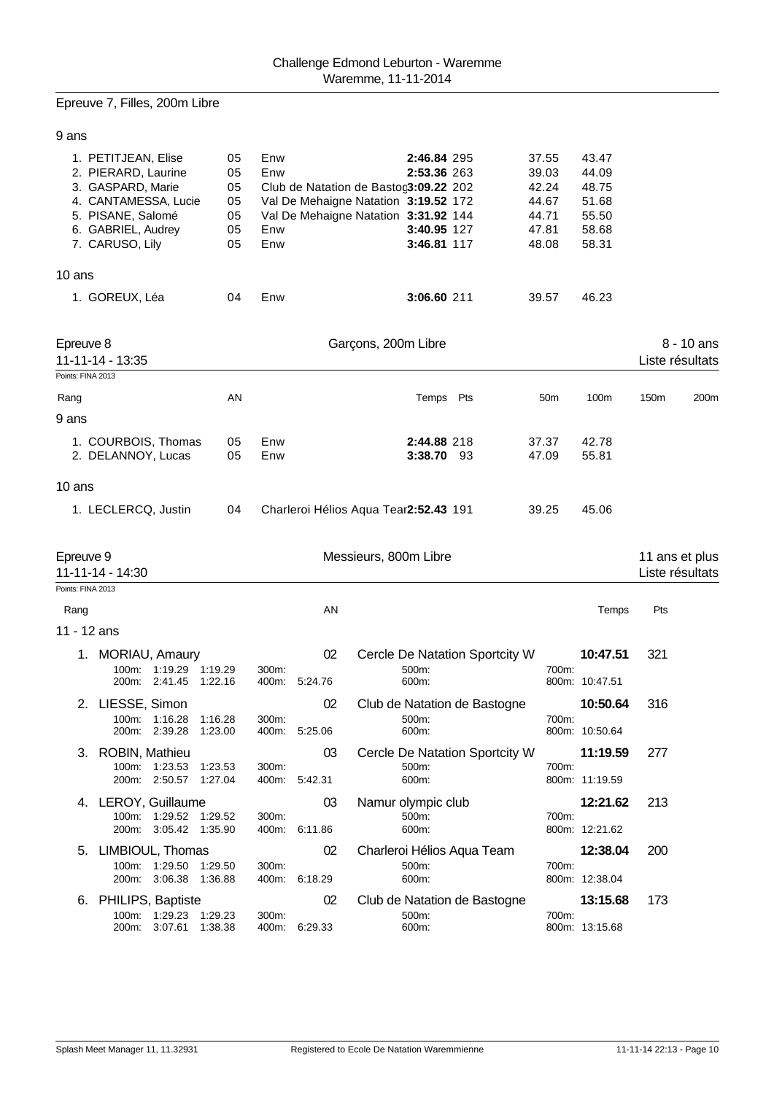## Epreuve 7, Filles, 200m Libre

### 9 ans

|        | 1. PETITJEAN, Elise<br>2. PIERARD, Laurine<br>3. GASPARD, Marie<br>4. CANTAMESSA, Lucie<br>5. PISANE, Salomé<br>6. GABRIEL, Audrey<br>7. CARUSO, Lily | 05<br>05<br>05<br>05<br>05<br>05<br>05 | Enw<br>Enw<br>Club de Natation de Bastoc3:09.22 202<br>Val De Mehaigne Natation 3:19.52 172<br>Val De Mehaigne Natation 3:31.92 144<br>Enw<br>Enw | 2:46.84 295<br>2:53.36 263<br>3:40.95 127<br>3:46.81 117 | 37.55<br>39.03<br>42.24<br>44.67<br>44.71<br>47.81<br>48.08 | 43.47<br>44.09<br>48.75<br>51.68<br>55.50<br>58.68<br>58.31 |      |                                 |
|--------|-------------------------------------------------------------------------------------------------------------------------------------------------------|----------------------------------------|---------------------------------------------------------------------------------------------------------------------------------------------------|----------------------------------------------------------|-------------------------------------------------------------|-------------------------------------------------------------|------|---------------------------------|
| 10 ans |                                                                                                                                                       |                                        |                                                                                                                                                   |                                                          |                                                             |                                                             |      |                                 |
|        | 1. GOREUX, Léa                                                                                                                                        | 04                                     | Enw                                                                                                                                               | 3:06.60 211                                              | 39.57                                                       | 46.23                                                       |      |                                 |
|        | Epreuve 8<br>11-11-14 - 13:35<br>Points: FINA 2013                                                                                                    |                                        | Garçons, 200m Libre                                                                                                                               |                                                          |                                                             |                                                             |      | $8 - 10$ ans<br>Liste résultats |
| Rang   |                                                                                                                                                       | AN                                     |                                                                                                                                                   | Temps Pts                                                | 50 <sub>m</sub>                                             | 100m                                                        | 150m | 200m                            |
| 9 ans  |                                                                                                                                                       |                                        |                                                                                                                                                   |                                                          |                                                             |                                                             |      |                                 |
|        | 1. COURBOIS, Thomas<br>2. DELANNOY, Lucas                                                                                                             | 05<br>05                               | Enw<br>Enw                                                                                                                                        | 2:44.88 218<br>3:38.70 93                                | 37.37<br>47.09                                              | 42.78<br>55.81                                              |      |                                 |
| 10 ans |                                                                                                                                                       |                                        |                                                                                                                                                   |                                                          |                                                             |                                                             |      |                                 |
|        | 1. LECLERCQ, Justin                                                                                                                                   | 04                                     | Charleroi Hélios Aqua Tear2:52.43 191                                                                                                             |                                                          | 39.25                                                       | 45.06                                                       |      |                                 |

| Epreuve 9<br>11-11-14 - 14:30 |                                                     |                                  |                    | Messieurs, 800m Libre |               | 11 ans et plus<br>Liste résultats                 |       |                            |     |
|-------------------------------|-----------------------------------------------------|----------------------------------|--------------------|-----------------------|---------------|---------------------------------------------------|-------|----------------------------|-----|
| Points: FINA 2013             |                                                     |                                  |                    |                       |               |                                                   |       |                            |     |
| Rang                          |                                                     |                                  |                    |                       | AN<br>Temps   |                                                   |       |                            | Pts |
| 11 - 12 ans                   |                                                     |                                  |                    |                       |               |                                                   |       |                            |     |
|                               | 1. MORIAU, Amaury                                   | 100m: 1:19.29<br>200m: 2:41.45   | 1:19.29<br>1:22.16 | 300m:<br>400m:        | 02<br>5:24.76 | Cercle De Natation Sportcity W<br>500m:<br>600m:  | 700m: | 10:47.51<br>800m: 10:47.51 | 321 |
|                               | 2. LIESSE, Simon                                    | 100m: 1:16.28                    | 1:16.28            | 300m:                 | 02            | Club de Natation de Bastogne<br>500m:             | 700m: | 10:50.64                   | 316 |
|                               |                                                     | 200m: 2:39.28                    | 1:23.00            | 400m:                 | 5:25.06       | 600m:                                             |       | 800m: 10:50.64             |     |
|                               | 3. ROBIN, Mathieu<br>100m:<br>200m:                 | 1:23.53<br>2:50.57               | 1:23.53<br>1:27.04 | 300m:<br>400m:        | 03<br>5:42.31 | Cercle De Natation Sportcity W<br>500m:<br>600m:  | 700m: | 11:19.59<br>800m: 11:19.59 | 277 |
|                               | 4. LEROY, Guillaume<br>$100m$ :                     | 1:29.52<br>200m: 3:05.42 1:35.90 | 1:29.52            | 300m:<br>400m:        | 03<br>6:11.86 | Namur olympic club<br>500m:<br>600m:              | 700m: | 12:21.62<br>800m: 12:21.62 | 213 |
| 5.                            | LIMBIOUL, Thomas                                    | 100m: 1:29.50<br>200m: 3:06.38   | 1:29.50<br>1:36.88 | 300m:<br>400m:        | 02<br>6:18.29 | Charleroi Hélios Aqua Team<br>500m:<br>600m:      | 700m: | 12:38.04<br>800m: 12:38.04 | 200 |
| 6.                            | PHILIPS, Baptiste<br>$100m$ :<br>200 <sub>m</sub> : | 1:29.23<br>3:07.61               | 1:29.23<br>1:38.38 | 300m:<br>400m:        | 02<br>6:29.33 | Club de Natation de Bastogne<br>$500m$ :<br>600m: | 700m: | 13:15.68<br>800m: 13:15.68 | 173 |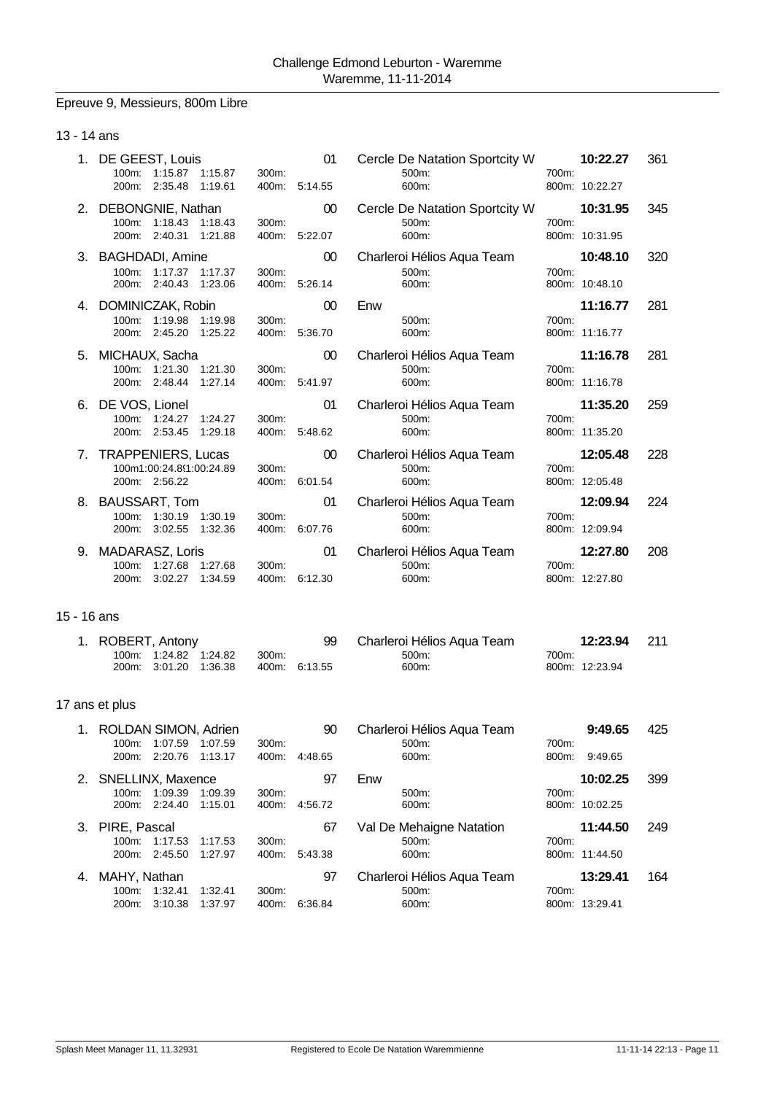## Epreuve 9, Messieurs, 800m Libre

## 13 - 14 ans

|             | 1. DE GEEST, Louis<br>100m: 1:15.87 1:15.87<br>200m: 2:35.48<br>1:19.61   | 300m: | 01<br>400m: 5:14.55 | Cercle De Natation Sportcity W<br>500m:<br>600m: | 700m: | 10:22.27<br>800m: 10:22.27 | 361 |
|-------------|---------------------------------------------------------------------------|-------|---------------------|--------------------------------------------------|-------|----------------------------|-----|
|             | 2. DEBONGNIE, Nathan<br>100m: 1:18.43 1:18.43<br>200m: 2:40.31<br>1:21.88 | 300m: | 00<br>400m: 5:22.07 | Cercle De Natation Sportcity W<br>500m:<br>600m: | 700m: | 10:31.95<br>800m: 10:31.95 | 345 |
|             | 3. BAGHDADI, Amine                                                        |       | $00\,$              | Charleroi Hélios Aqua Team                       |       | 10:48.10                   | 320 |
|             | 100m: 1:17.37 1:17.37<br>200m: 2:40.43<br>1:23.06                         | 300m: | 400m: 5:26.14       | 500m:<br>600m:                                   | 700m: | 800m: 10:48.10             |     |
|             | 4. DOMINICZAK, Robin                                                      |       | 00                  | Enw                                              |       | 11:16.77                   | 281 |
|             | 100m: 1:19.98<br>1:19.98<br>200m: 2:45.20<br>1:25.22                      | 300m: | 400m: 5:36.70       | 500m:<br>600m:                                   | 700m: | 800m: 11:16.77             |     |
|             | 5. MICHAUX, Sacha                                                         |       | 00                  | Charleroi Hélios Aqua Team                       |       | 11:16.78                   | 281 |
|             | 100m: 1:21.30 1:21.30<br>200m: 2:48.44<br>1:27.14                         | 300m: | 400m: 5:41.97       | 500m:<br>600m:                                   | 700m: | 800m: 11:16.78             |     |
|             | 6. DE VOS, Lionel                                                         |       | 01                  | Charleroi Hélios Aqua Team                       |       | 11:35.20                   | 259 |
|             | 100m: 1:24.27 1:24.27<br>200m: 2:53.45<br>1:29.18                         | 300m: | 400m: 5:48.62       | 500m:<br>600m:                                   | 700m: | 800m: 11:35.20             |     |
|             | 7. TRAPPENIERS, Lucas                                                     |       | 00                  | Charleroi Hélios Aqua Team                       |       | 12:05.48                   | 228 |
|             | 100m1:00:24.8(1:00:24.89<br>200m: 2:56.22                                 | 300m: | 400m: 6:01.54       | 500m:<br>600m:                                   | 700m: | 800m: 12:05.48             |     |
|             | 8. BAUSSART, Tom                                                          |       | 01                  | Charleroi Hélios Aqua Team                       |       | 12:09.94                   | 224 |
|             | 100m: 1:30.19 1:30.19<br>200m: 3:02.55<br>1:32.36                         | 300m: | 400m: 6:07.76       | 500m:<br>600m:                                   | 700m: | 800m: 12:09.94             |     |
|             | 9. MADARASZ, Loris                                                        |       | 01                  | Charleroi Hélios Aqua Team                       |       | 12:27.80                   | 208 |
|             | 100m: 1:27.68 1:27.68<br>200m: 3:02.27 1:34.59                            | 300m: | 400m: 6:12.30       | 500m:<br>600m:                                   | 700m: | 800m: 12:27.80             |     |
| 15 - 16 ans |                                                                           |       |                     |                                                  |       |                            |     |
|             | 1. ROBERT, Antony<br>1:24.82 1:24.82<br>100m:<br>200m: 3:01.20<br>1:36.38 | 300m: | 99<br>400m: 6:13.55 | Charleroi Hélios Aqua Team<br>500m:<br>600m:     | 700m: | 12:23.94<br>800m: 12:23.94 | 211 |
|             | 17 ans et plus                                                            |       |                     |                                                  |       |                            |     |
|             | 1. ROLDAN SIMON, Adrien                                                   |       | 90                  | Charleroi Hélios Aqua Team                       |       | 9:49.65                    | 425 |

| $100m$ :             | 1:07.59         | 1:07.59 | 300m: |         | 500m:                      | 700m: |                |     |
|----------------------|-----------------|---------|-------|---------|----------------------------|-------|----------------|-----|
| 200m:                | 2:20.76 1:13.17 |         | 400m: | 4:48.65 | 600m:                      | 800m: | 9:49.65        |     |
| 2. SNELLINX, Maxence |                 |         |       | 97      | Enw                        |       | 10:02.25       | 399 |
| 100m:                | 1:09.39         | 1:09.39 | 300m: |         | 500m:                      | 700m: |                |     |
| 200m:                | 2:24.40         | 1:15.01 | 400m: | 4:56.72 | 600m:                      |       | 800m: 10:02.25 |     |
| 3. PIRE, Pascal      |                 |         |       | 67      | Val De Mehaigne Natation   |       | 11:44.50       | 249 |
|                      | 100m: 1:17.53   | 1:17.53 | 300m. |         | 500m:                      | 700m: |                |     |
|                      | 200m: 2:45.50   | 1:27.97 | 400m: | 5:43.38 | 600m:                      |       | 800m: 11:44.50 |     |
| 4. MAHY, Nathan      |                 |         |       | 97      | Charleroi Hélios Aqua Team |       | 13:29.41       | 164 |
| $100m$ :             | 1:32.41         | 1:32.41 | 300m: |         | 500m:                      | 700m: |                |     |
| 200 <sub>m</sub> :   | 3:10.38         | 1:37.97 | 400m: | 6:36.84 | 600m:                      |       | 800m: 13:29.41 |     |
|                      |                 |         |       |         |                            |       |                |     |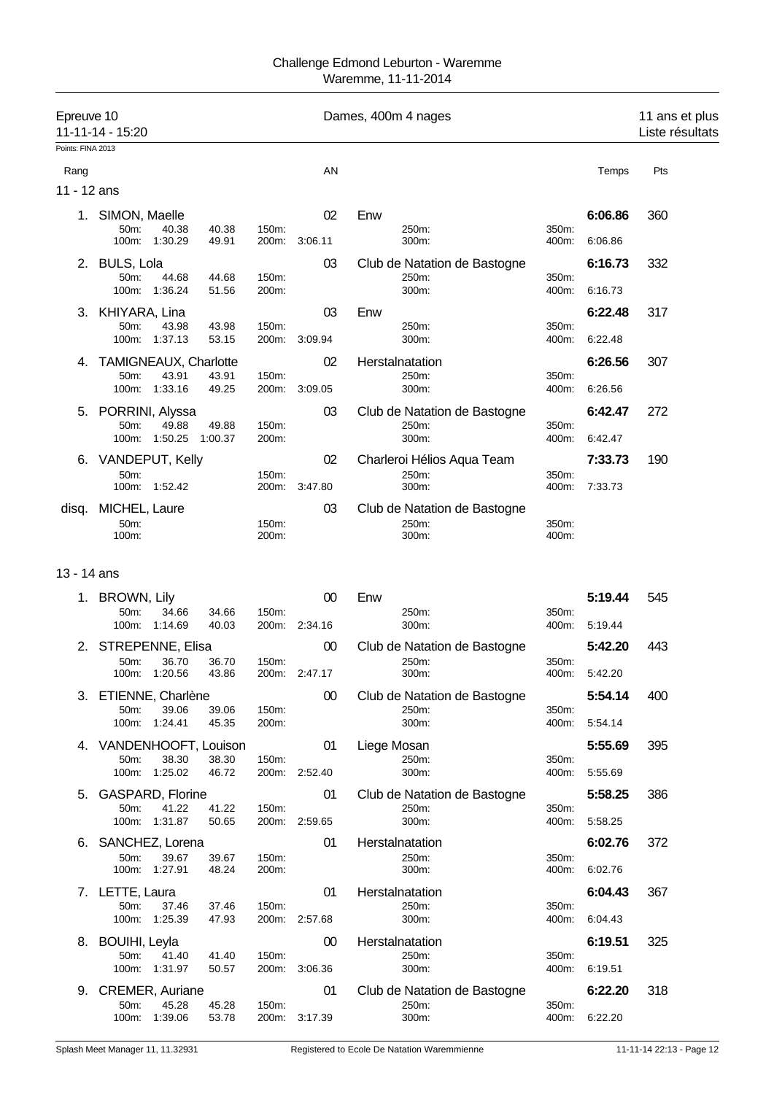| Epreuve 10          | 11-11-14 - 15:20                                |                  |                | Dames, 400m 4 nages |                                                |                |                    | 11 ans et plus<br>Liste résultats |
|---------------------|-------------------------------------------------|------------------|----------------|---------------------|------------------------------------------------|----------------|--------------------|-----------------------------------|
| Points: FINA 2013   |                                                 |                  |                |                     |                                                |                |                    |                                   |
| Rang<br>11 - 12 ans |                                                 |                  |                | AN                  |                                                |                | Temps              | Pts                               |
|                     |                                                 |                  |                |                     |                                                |                |                    |                                   |
| 1.                  | SIMON, Maelle<br>50m:<br>40.38<br>100m: 1:30.29 | 40.38<br>49.91   | 150m:<br>200m: | 02<br>3:06.11       | Enw<br>250m:<br>300m:                          | 350m:<br>400m: | 6:06.86<br>6:06.86 | 360                               |
|                     |                                                 |                  |                |                     |                                                |                |                    |                                   |
| 2.                  | BULS, Lola<br>50m:<br>44.68<br>100m:<br>1:36.24 | 44.68<br>51.56   | 150m:<br>200m: | 03                  | Club de Natation de Bastogne<br>250m:<br>300m: | 350m:<br>400m: | 6:16.73<br>6:16.73 | 332                               |
| 3.                  | KHIYARA, Lina                                   |                  |                | 03                  | Enw                                            |                | 6:22.48            | 317                               |
|                     | 50m:<br>43.98<br>100m:<br>1:37.13               | 43.98<br>53.15   | 150m:<br>200m: | 3:09.94             | 250m:<br>300m:                                 | 350m:<br>400m: | 6:22.48            |                                   |
| 4.                  | <b>TAMIGNEAUX, Charlotte</b>                    |                  |                | 02                  | Herstalnatation                                |                | 6:26.56            | 307                               |
|                     | 50m:<br>43.91<br>100m: 1:33.16                  | 43.91<br>49.25   | 150m:<br>200m: | 3:09.05             | 250m:<br>300m:                                 | 350m:<br>400m: | 6:26.56            |                                   |
| 5.                  | PORRINI, Alyssa                                 |                  |                | 03                  | Club de Natation de Bastogne                   |                | 6:42.47            | 272                               |
|                     | 50m:<br>49.88<br>1:50.25<br>100m:               | 49.88<br>1:00.37 | 150m:<br>200m: |                     | 250m:<br>300m:                                 | 350m:<br>400m: | 6:42.47            |                                   |
|                     | 6. VANDEPUT, Kelly                              |                  |                | 02                  | Charleroi Hélios Aqua Team                     |                | 7:33.73            | 190                               |
|                     | 50m:<br>100m:<br>1:52.42                        |                  | 150m:<br>200m: | 3:47.80             | 250m:<br>300m:                                 | 350m:<br>400m: | 7:33.73            |                                   |
| disq.               | MICHEL, Laure<br>50m:<br>100m:                  |                  | 150m:<br>200m: | 03                  | Club de Natation de Bastogne<br>250m:<br>300m: | 350m:<br>400m: |                    |                                   |
| 13 - 14 ans         |                                                 |                  |                |                     |                                                |                |                    |                                   |
|                     | 1. BROWN, Lily                                  |                  |                | 00                  | Enw                                            |                | 5:19.44            | 545                               |
|                     | 50m:<br>34.66<br>100m:<br>1:14.69               | 34.66<br>40.03   | 150m:<br>200m: | 2:34.16             | 250m:<br>300m:                                 | 350m:<br>400m: | 5:19.44            |                                   |
| 2.                  | STREPENNE, Elisa                                |                  |                | 00                  | Club de Natation de Bastogne                   |                | 5:42.20            | 443                               |
|                     | 36.70<br>50m:<br>100m: 1:20.56                  | 36.70<br>43.86   | 150m:          | 200m: 2:47.17       | 250m:<br>300m:                                 | 350m:<br>400m: | 5:42.20            |                                   |
| 3.                  | ETIENNE, Charlène                               |                  |                | 00                  | Club de Natation de Bastogne                   |                | 5:54.14            | 400                               |
|                     | 50m:<br>39.06<br>100m: 1:24.41                  | 39.06<br>45.35   | 150m:<br>200m: |                     | 250m:<br>300m:                                 | 350m:<br>400m: | 5:54.14            |                                   |
|                     | 4. VANDENHOOFT, Louison                         |                  |                | 01                  | Liege Mosan                                    |                | 5:55.69            | 395                               |
|                     | 50m:<br>38.30<br>1:25.02<br>100m:               | 38.30<br>46.72   | 150m:<br>200m: | 2:52.40             | 250m:<br>300m:                                 | 350m:<br>400m: | 5:55.69            |                                   |
| 5.                  | <b>GASPARD, Florine</b>                         |                  |                | 01                  | Club de Natation de Bastogne                   |                | 5:58.25            | 386                               |
|                     | 50m:<br>41.22<br>100m:<br>1:31.87               | 41.22<br>50.65   | 150m:          | 200m: 2:59.65       | 250m:<br>300m:                                 | 350m:<br>400m: | 5:58.25            |                                   |
| 6.                  | SANCHEZ, Lorena                                 |                  |                | 01                  | Herstalnatation                                |                | 6:02.76            | 372                               |
|                     | 39.67<br>50 <sub>m</sub> :<br>100m: 1:27.91     | 39.67<br>48.24   | 150m:<br>200m: |                     | 250m:<br>300m:                                 | 350m:<br>400m: | 6:02.76            |                                   |
|                     | 7. LETTE, Laura                                 |                  |                | 01                  | Herstalnatation                                |                | 6:04.43            | 367                               |
|                     | 50m:<br>37.46<br>100m: 1:25.39                  | 37.46<br>47.93   | 150m:          | 200m: 2:57.68       | 250m:<br>300m:                                 | 350m:<br>400m: | 6:04.43            |                                   |
| 8.                  | BOUIHI, Leyla                                   |                  |                | 00                  | Herstalnatation                                |                | 6:19.51            | 325                               |
|                     | 50m:<br>41.40<br>100m:<br>1:31.97               | 41.40<br>50.57   | 150m:<br>200m: | 3:06.36             | 250m:<br>300m:                                 | 350m:<br>400m: | 6:19.51            |                                   |
|                     | 9. CREMER, Auriane                              |                  |                | 01                  | Club de Natation de Bastogne                   |                | 6:22.20            | 318                               |

50m: 45.28 45.28 150m: 250m: 350m: 100m: 1:39.06 53.78 200m: 3:17.39 300m: 400m: 6:22.20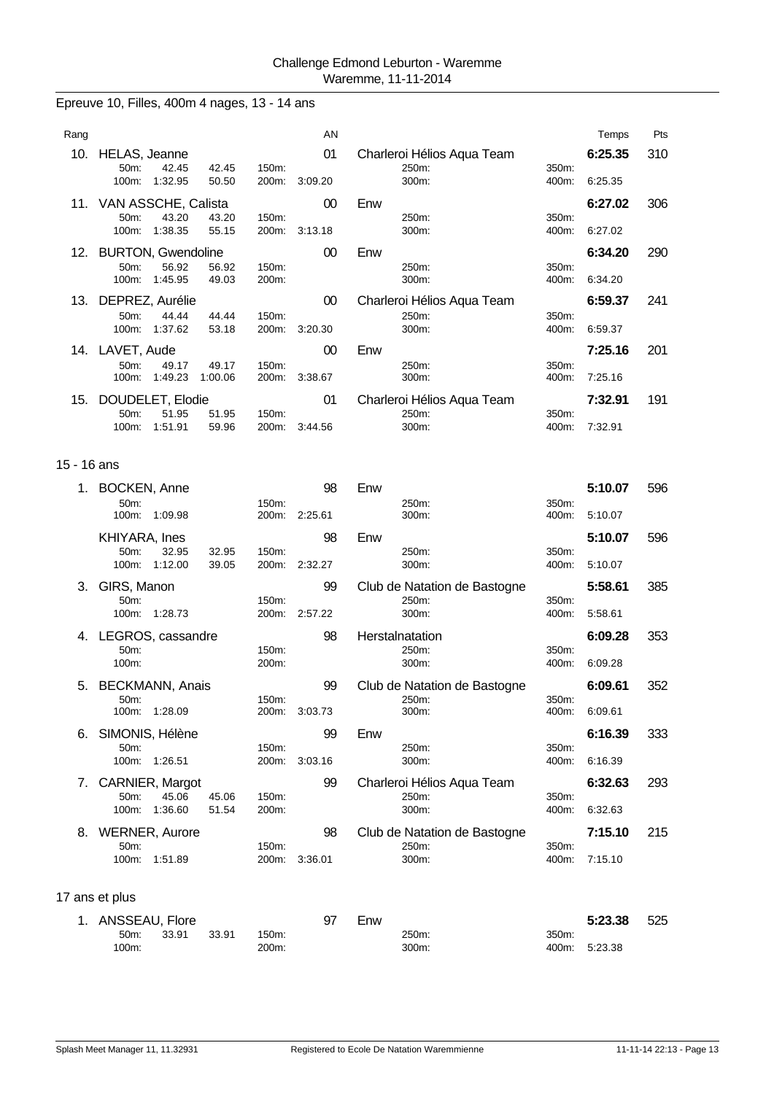# Epreuve 10, Filles, 400m 4 nages, 13 - 14 ans

| Rang |                               |                  |                  |                   | AN      |                            |                   | Temps   | Pts |
|------|-------------------------------|------------------|------------------|-------------------|---------|----------------------------|-------------------|---------|-----|
| 10.  | HELAS, Jeanne                 |                  |                  |                   | 01      | Charleroi Hélios Aqua Team |                   | 6:25.35 | 310 |
|      | 50m:<br>100m:                 | 42.45<br>1:32.95 | 42.45<br>50.50   | 150m:<br>$200m$ : | 3:09.20 | 250m:<br>300m:             | 350m:<br>400m:    | 6:25.35 |     |
|      | 11. VAN ASSCHE, Calista       |                  |                  |                   | 00      | Enw                        |                   | 6:27.02 | 306 |
|      | 50 <sub>m</sub> :<br>$100m$ : | 43.20<br>1:38.35 | 43.20<br>55.15   | 150m:<br>200m:    | 3:13.18 | 250m:<br>300m:             | 350m:<br>400m:    | 6:27.02 |     |
| 12.  | <b>BURTON, Gwendoline</b>     |                  |                  |                   | 00      | Enw                        |                   | 6:34.20 | 290 |
|      | $50m$ :<br>$100m$ :           | 56.92<br>1:45.95 | 56.92<br>49.03   | 150m:<br>200m:    |         | 250m:<br>300m:             | 350m:<br>400m:    | 6:34.20 |     |
| 13.  | DEPREZ, Aurélie               |                  |                  |                   | 00      | Charleroi Hélios Aqua Team |                   | 6:59.37 | 241 |
|      | $50m$ :<br>$100m$ :           | 44.44<br>1:37.62 | 44.44<br>53.18   | 150m:<br>200m:    | 3:20.30 | 250m:<br>300m:             | $350m$ :<br>400m: | 6.59.37 |     |
|      | 14. LAVET, Aude               |                  |                  |                   | 00      | Enw                        |                   | 7:25.16 | 201 |
|      | $50m$ :<br>$100m$ :           | 49.17<br>1:49.23 | 49.17<br>1:00.06 | 150m:<br>200m:    | 3:38.67 | 250m:<br>300m:             | 350m:<br>400m:    | 7:25.16 |     |
| 15.  | DOUDELET, Elodie              |                  |                  |                   | 01      | Charleroi Hélios Aqua Team |                   | 7:32.91 | 191 |
|      | $50m$ :<br>100m:              | 51.95<br>1:51.91 | 51.95<br>59.96   | $150m$ :<br>200m: | 3:44.56 | 250m:<br>300m:             | $350m$ :<br>400m: | 7:32.91 |     |

### 15 - 16 ans

| 1. | <b>BOCKEN, Anne</b><br>50m:<br>100m:<br>1:09.98                         | 150m:<br>200m: | 98<br>2:25.61 | Enw<br>250m:<br>300m:                          | 350m:<br>400m: | 5:10.07<br>5:10.07 | 596 |
|----|-------------------------------------------------------------------------|----------------|---------------|------------------------------------------------|----------------|--------------------|-----|
|    | KHIYARA, Ines<br>$50m$ :<br>32.95<br>32.95<br>1:12.00<br>100m:<br>39.05 | 150m:<br>200m: | 98<br>2:32.27 | Enw<br>250m:<br>300m:                          | 350m:<br>400m: | 5:10.07<br>5:10.07 | 596 |
| 3. | GIRS, Manon<br>50 <sub>m</sub> :<br>100m:<br>1:28.73                    | 150m:<br>200m: | 99<br>2:57.22 | Club de Natation de Bastogne<br>250m:<br>300m: | 350m:<br>400m: | 5:58.61<br>5:58.61 | 385 |
| 4. | LEGROS, cassandre<br>$50m$ :<br>100m:                                   | 150m:<br>200m: | 98            | Herstalnatation<br>250m:<br>300m:              | 350m:<br>400m: | 6:09.28<br>6:09.28 | 353 |
| 5. | <b>BECKMANN, Anais</b><br>$50m$ :<br>1:28.09<br>100m:                   | 150m:<br>200m: | 99<br>3:03.73 | Club de Natation de Bastogne<br>250m:<br>300m: | 350m:<br>400m: | 6:09.61<br>6:09.61 | 352 |
| 6. | SIMONIS, Hélène<br>50m:<br>100m:<br>1:26.51                             | 150m:<br>200m: | 99<br>3:03.16 | Enw<br>250m:<br>300m:                          | 350m:<br>400m: | 6:16.39<br>6:16.39 | 333 |
| 7. | CARNIER, Margot<br>45.06<br>45.06<br>50m:<br>1:36.60<br>100m:<br>51.54  | 150m:<br>200m: | 99            | Charleroi Hélios Aqua Team<br>250m:<br>300m:   | 350m:<br>400m: | 6:32.63<br>6:32.63 | 293 |
| 8. | <b>WERNER, Aurore</b><br>50m:<br>1:51.89<br>100m:                       | 150m:<br>200m: | 98<br>3:36.01 | Club de Natation de Bastogne<br>250m:<br>300m: | 350m:<br>400m: | 7:15.10<br>7:15.10 | 215 |

| 1. ANSSEAU, Flore |       |       |       | 97 | Enw   |       | 5:23.38 | 525 |
|-------------------|-------|-------|-------|----|-------|-------|---------|-----|
| $50m$ :           | 33.91 | 33.91 | 150m. |    | 250m: | 350m: |         |     |
| 100m:             |       |       | 200m: |    | 300m: | 400m: | 5:23.38 |     |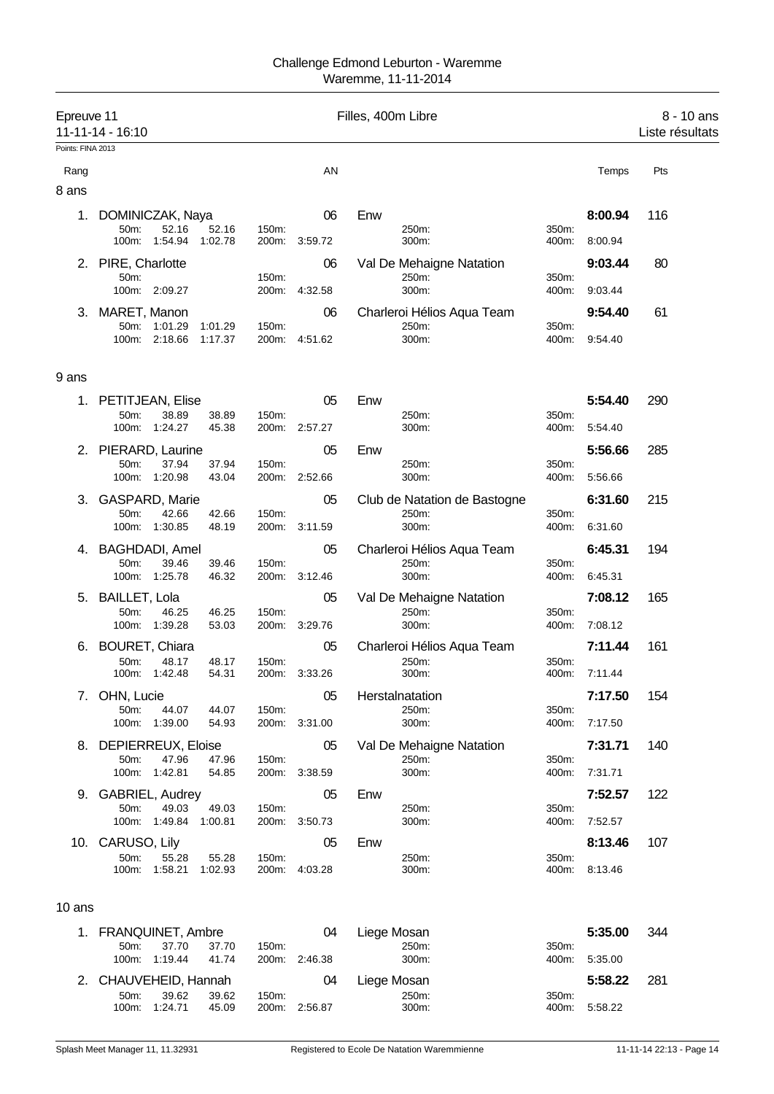| Epreuve 11<br>Points: FINA 2013 | 11-11-14 - 16:10                                                          |                |                     | Filles, 400m Libre                             |                |                    | 8 - 10 ans<br>Liste résultats |
|---------------------------------|---------------------------------------------------------------------------|----------------|---------------------|------------------------------------------------|----------------|--------------------|-------------------------------|
| Rang<br>8 ans                   |                                                                           |                | AN                  |                                                |                | Temps              | Pts                           |
| 1.                              | DOMINICZAK, Naya<br>50m:<br>52.16<br>52.16<br>100m:<br>1.54.94<br>1:02.78 | 150m:<br>200m: | 06<br>3:59.72       | Enw<br>250m:<br>300m:                          | 350m:<br>400m: | 8:00.94<br>8:00.94 | 116                           |
|                                 | 2. PIRE, Charlotte<br>50m:<br>100m: 2:09.27                               | 150m:<br>200m: | 06<br>4:32.58       | Val De Mehaigne Natation<br>250m:<br>300m:     | 350m:<br>400m: | 9:03.44<br>9:03.44 | 80                            |
|                                 | 3. MARET, Manon<br>50m: 1:01.29<br>1:01.29<br>100m: 2:18.66<br>1:17.37    | 150m:          | 06<br>200m: 4:51.62 | Charleroi Hélios Aqua Team<br>250m:<br>300m:   | 350m:<br>400m: | 9:54.40<br>9.54.40 | 61                            |
| 9 ans                           |                                                                           |                |                     |                                                |                |                    |                               |
| 1.                              | PETITJEAN, Elise<br>50m:<br>38.89<br>38.89<br>100m: 1:24.27<br>45.38      | 150m:          | 05<br>200m: 2:57.27 | Enw<br>250m:<br>300m:                          | 350m:<br>400m: | 5:54.40<br>5:54.40 | 290                           |
|                                 | 2. PIERARD, Laurine<br>50m:<br>37.94<br>37.94<br>100m: 1:20.98<br>43.04   | 150m:          | 05<br>200m: 2:52.66 | Enw<br>250m:<br>300m:                          | 350m:<br>400m: | 5:56.66<br>5:56.66 | 285                           |
| 3.                              | <b>GASPARD, Marie</b><br>50m:<br>42.66<br>42.66<br>100m: 1:30.85<br>48.19 | 150m:          | 05<br>200m: 3:11.59 | Club de Natation de Bastogne<br>250m:<br>300m: | 350m:<br>400m: | 6:31.60<br>6.31.60 | 215                           |
|                                 | 4. BAGHDADI, Amel<br>50m:<br>39.46<br>39.46<br>100m: 1:25.78<br>46.32     | 150m:          | 05<br>200m: 3:12.46 | Charleroi Hélios Aqua Team<br>250m:<br>300m:   | 350m:<br>400m: | 6:45.31<br>6:45.31 | 194                           |
|                                 | 5. BAILLET, Lola<br>50m:<br>46.25<br>46.25<br>100m: 1:39.28<br>53.03      | 150m:          | 05<br>200m: 3:29.76 | Val De Mehaigne Natation<br>250m:<br>300m:     | 350m:<br>400m: | 7:08.12<br>7:08.12 | 165                           |
|                                 | 6. BOURET, Chiara<br>50m:<br>48.17<br>48.17<br>1:42.48<br>100m:<br>54.31  | 150m:          | 05<br>200m: 3:33.26 | Charleroi Hélios Aqua Team<br>250m:<br>300m:   | 350m:<br>400m: | 7:11.44<br>7:11.44 | 161                           |
|                                 | 7. OHN, Lucie<br>50m:<br>44.07<br>44.07<br>100m: 1:39.00<br>54.93         | 150m.          | 05<br>200m: 3:31.00 | Herstalnatation<br>250m:<br>300m:              | 350m:<br>400m: | 7:17.50<br>7:17.50 | 154                           |
|                                 | 8. DEPIERREUX, Eloise<br>50m:<br>47.96<br>47.96<br>100m: 1:42.81<br>54.85 | 150m:          | 05<br>200m: 3:38.59 | Val De Mehaigne Natation<br>250m:<br>300m:     | 350m:<br>400m: | 7:31.71<br>7:31.71 | 140                           |
|                                 | 9. GABRIEL, Audrey<br>50m:<br>49.03<br>49.03<br>100m: 1:49.84<br>1:00.81  | 150m:          | 05<br>200m: 3:50.73 | Enw<br>250m:<br>300m:                          | 350m:<br>400m: | 7:52.57<br>7:52.57 | 122                           |
|                                 | 10. CARUSO, Lily<br>50m:<br>55.28<br>55.28<br>100m: 1:58.21<br>1:02.93    | 150m:          | 05<br>200m: 4:03.28 | Enw<br>250m:<br>300m:                          | 350m:<br>400m: | 8:13.46<br>8:13.46 | 107                           |
| 10 ans                          |                                                                           |                |                     |                                                |                |                    |                               |

| 1. FRANQUINET, Ambre  |         |       |       | 04            | Liege Mosan |       | 5:35.00       | 344  |
|-----------------------|---------|-------|-------|---------------|-------------|-------|---------------|------|
| $50m$ :               | 37.70   | 37.70 | 150m: |               | 250m:       | 350m: |               |      |
| 100m:                 | 1:19.44 | 41.74 |       | 200m: 2:46.38 | 300m:       |       | 400m: 5:35.00 |      |
| 2. CHAUVEHEID, Hannah |         |       |       |               |             |       |               |      |
|                       |         |       |       | 04            | Liege Mosan |       | 5:58.22       | -281 |
| 50 <sub>m</sub>       | 39.62   | 39.62 | 150m: |               | 250m:       | 350m: |               |      |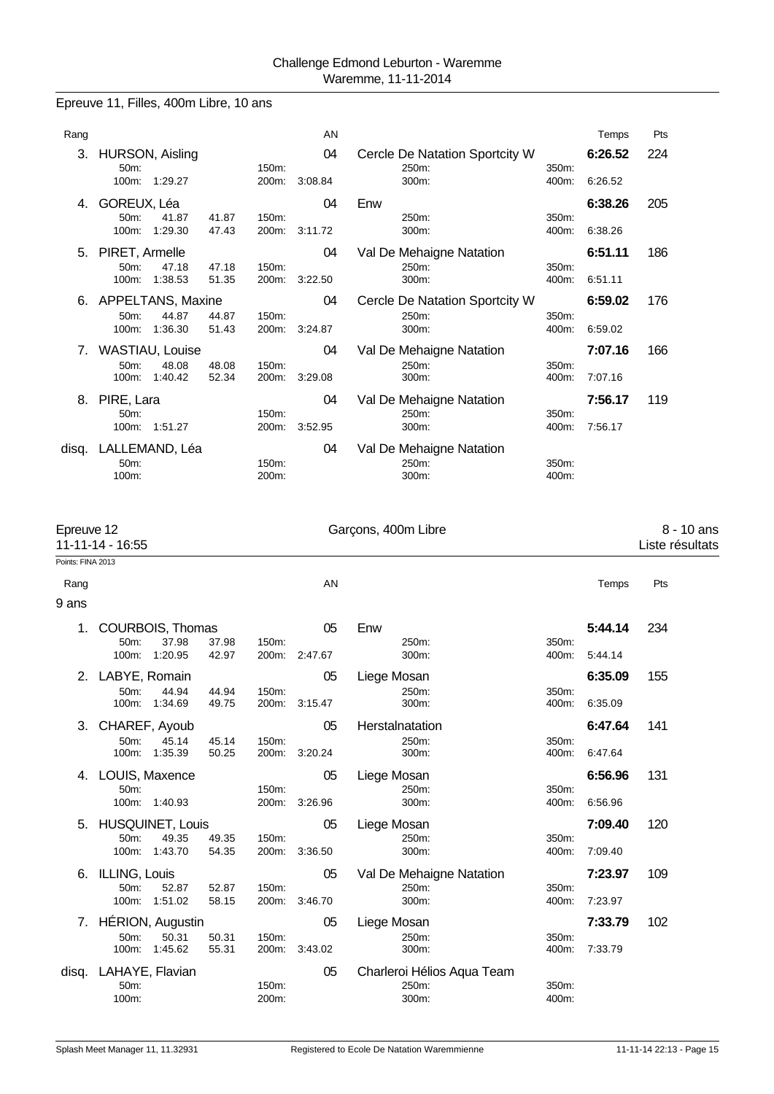Epreuve 11, Filles, 400m Libre, 10 ans

| Rang                           |                          |         |       |       | AN      |     |                                         |       | Temps   | Pts |
|--------------------------------|--------------------------|---------|-------|-------|---------|-----|-----------------------------------------|-------|---------|-----|
| 3.                             | HURSON, Aisling<br>50m:  |         |       | 150m: | 04      |     | Cercle De Natation Sportcity W<br>250m: | 350m: | 6:26.52 | 224 |
|                                | $100m$ :                 | 1:29.27 |       | 200m: | 3:08.84 |     | 300m:                                   | 400m: | 6:26.52 |     |
| 4.                             | GOREUX, Léa              |         |       |       | 04      | Enw |                                         |       | 6:38.26 | 205 |
|                                | $50m$ :                  | 41.87   | 41.87 | 150m: |         |     | 250m:                                   | 350m: |         |     |
|                                | $100m$ :                 | 1:29.30 | 47.43 | 200m: | 3:11.72 |     | 300m:                                   | 400m: | 6:38.26 |     |
| 5.                             | PIRET, Armelle           |         |       |       | 04      |     | Val De Mehaigne Natation                |       | 6:51.11 | 186 |
|                                | 50 <sub>m</sub> :        | 47.18   | 47.18 | 150m: |         |     | 250m:                                   | 350m: |         |     |
|                                | $100m$ :                 | 1:38.53 | 51.35 | 200m: | 3:22.50 |     | 300m:                                   | 400m: | 6:51.11 |     |
| 6.                             | <b>APPELTANS, Maxine</b> |         |       |       | 04      |     | Cercle De Natation Sportcity W          |       | 6:59.02 | 176 |
|                                | $50m$ :                  | 44.87   | 44.87 | 150m: |         |     | 250m:                                   | 350m: |         |     |
|                                | $100m$ :                 | 1:36.30 | 51.43 | 200m: | 3:24.87 |     | 300m:                                   | 400m: | 6:59.02 |     |
| $7_{\scriptscriptstyle{\sim}}$ | WASTIAU, Louise          |         |       |       | 04      |     | Val De Mehaigne Natation                |       | 7:07.16 | 166 |
|                                | $50m$ :                  | 48.08   | 48.08 | 150m: |         |     | 250m:                                   | 350m: |         |     |
|                                | $100m$ :                 | 1:40.42 | 52.34 | 200m: | 3:29.08 |     | 300m:                                   | 400m: | 7:07.16 |     |
| 8.                             | PIRE, Lara               |         |       |       | 04      |     | Val De Mehaigne Natation                |       | 7:56.17 | 119 |
|                                | 50m:                     |         |       | 150m: |         |     | 250m:                                   | 350m: |         |     |
|                                | 100m:                    | 1:51.27 |       | 200m: | 3:52.95 |     | 300m:                                   | 400m: | 7:56.17 |     |
| disq.                          | LALLEMAND, Léa           |         |       |       | 04      |     | Val De Mehaigne Natation                |       |         |     |
|                                | $50m$ :                  |         |       | 150m: |         |     | 250m:                                   | 350m: |         |     |
|                                | 100m:                    |         |       | 200m: |         |     | 300m:                                   | 400m: |         |     |
|                                |                          |         |       |       |         |     |                                         |       |         |     |

| Epreuve 12<br>Points: FINA 2013 | 11-11-14 - 16:55                      |                                                   |                | Garçons, 400m Libre |                     |                                              |                |                    | 8 - 10 ans<br>Liste résultats |
|---------------------------------|---------------------------------------|---------------------------------------------------|----------------|---------------------|---------------------|----------------------------------------------|----------------|--------------------|-------------------------------|
| Rang                            |                                       |                                                   |                |                     | AN                  |                                              |                | Temps              | Pts                           |
| 9 ans                           |                                       |                                                   |                |                     |                     |                                              |                |                    |                               |
| 1.                              | 50m:<br>100m:                         | COURBOIS, Thomas<br>37.98<br>1:20.95              | 37.98<br>42.97 | 150m:               | 05<br>200m: 2:47.67 | Enw<br>250m:<br>300m:                        | 350m:<br>400m: | 5:44.14<br>5:44.14 | 234                           |
|                                 | 2. LABYE, Romain<br>50m:<br>100m:     | 44.94<br>1:34.69                                  | 44.94<br>49.75 | 150m:<br>200m:      | 05<br>3:15.47       | Liege Mosan<br>250m:<br>300m:                | 350m:<br>400m: | 6:35.09<br>6:35.09 | 155                           |
| 3.                              | CHAREF, Ayoub<br>50m:<br>100m:        | 45.14<br>1:35.39                                  | 45.14<br>50.25 | 150m:<br>200m:      | 05<br>3:20.24       | Herstalnatation<br>250m:<br>300m:            | 350m:<br>400m: | 6:47.64<br>6.47.64 | 141                           |
| 4.                              | LOUIS, Maxence<br>50m:<br>100m:       | 1:40.93                                           |                | 150m:<br>200m:      | 05<br>3:26.96       | Liege Mosan<br>250m:<br>300m:                | 350m:<br>400m: | 6:56.96<br>6.56.96 | 131                           |
| 5.                              | 50m:                                  | <b>HUSQUINET, Louis</b><br>49.35<br>100m: 1:43.70 | 49.35<br>54.35 | 150m:               | 05<br>200m: 3:36.50 | Liege Mosan<br>250m:<br>300m:                | 350m:<br>400m: | 7:09.40<br>7:09.40 | 120                           |
| 6.                              | <b>ILLING, Louis</b><br>50m:<br>100m: | 52.87<br>1:51.02                                  | 52.87<br>58.15 | 150m:<br>200m:      | 05<br>3:46.70       | Val De Mehaigne Natation<br>250m:<br>300m:   | 350m:<br>400m: | 7:23.97<br>7:23.97 | 109                           |
| 7.                              | 50m:<br>100m:                         | HÉRION, Augustin<br>50.31<br>1:45.62              | 50.31<br>55.31 | 150m:<br>200m:      | 05<br>3:43.02       | Liege Mosan<br>250m:<br>300m:                | 350m:<br>400m: | 7:33.79<br>7:33.79 | 102                           |
| disq.                           | LAHAYE, Flavian<br>50m:<br>100m:      |                                                   |                | 150m:<br>200m:      | 05                  | Charleroi Hélios Aqua Team<br>250m:<br>300m: | 350m:<br>400m: |                    |                               |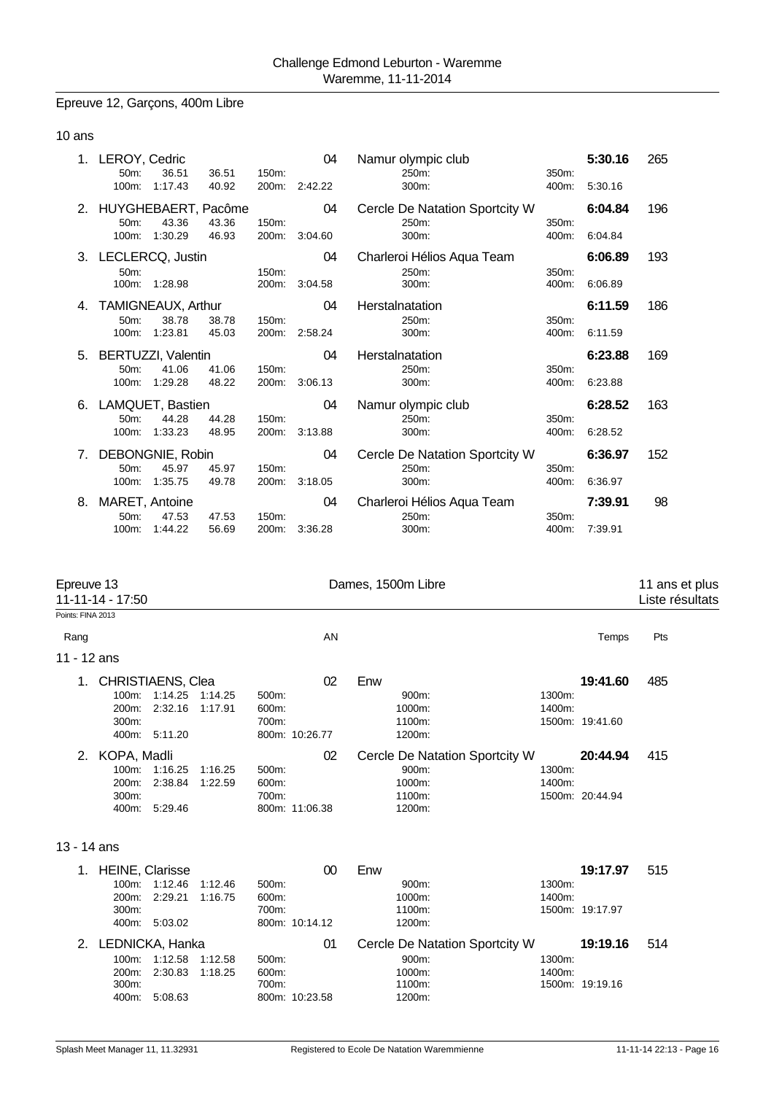#### Epreuve 12, Garçons, 400m Libre

#### 10 ans

|    | 1. LEROY, Cedric<br>50m:<br>100m: | 36.51<br>1:17.43 | 36.51<br>40.92 | 150m:<br>200m: | 04<br>2:42.22 | Namur olympic club<br>250m:<br>300m:    | 350m:<br>400m: | 5:30.16<br>5:30.16 | 265 |
|----|-----------------------------------|------------------|----------------|----------------|---------------|-----------------------------------------|----------------|--------------------|-----|
|    | 2. HUYGHEBAERT, Pacôme<br>50m:    | 43.36            | 43.36          | 150m:          | 04            | Cercle De Natation Sportcity W<br>250m: | 350m:          | 6:04.84            | 196 |
|    | 100m:                             | 1:30.29          | 46.93          | 200m:          | 3:04.60       | 300m:                                   | 400m:          | 6:04.84            |     |
| 3. | LECLERCQ, Justin                  |                  |                |                | 04            | Charleroi Hélios Aqua Team              |                | 6:06.89            | 193 |
|    | 50m:<br>100m:                     | 1:28.98          |                | 150m:<br>200m: | 3:04.58       | 250m:<br>300m:                          | 350m:<br>400m: | 6:06.89            |     |
| 4. | TAMIGNEAUX, Arthur                |                  |                |                | 04            | Herstalnatation                         |                | 6:11.59            | 186 |
|    | 50m:                              | 38.78            | 38.78          | 150m:          |               | 250m:                                   | 350m:          |                    |     |
|    | 100m:                             | 1:23.81          | 45.03          | 200m:          | 2:58.24       | 300m:                                   | 400m:          | 6:11.59            |     |
| 5. | <b>BERTUZZI, Valentin</b>         |                  |                |                | 04            | Herstalnatation                         |                | 6:23.88            | 169 |
|    | 50m:                              | 41.06            | 41.06          | 150m:          |               | 250m:                                   | 350m:          |                    |     |
|    | 100m:                             | 1:29.28          | 48.22          | 200m:          | 3:06.13       | 300m:                                   | 400m:          | 6:23.88            |     |
| 6. | LAMQUET, Bastien                  |                  |                |                | 04            | Namur olympic club                      |                | 6:28.52            | 163 |
|    | 50m:                              | 44.28            | 44.28          | 150m:          |               | 250m:                                   | 350m:          |                    |     |
|    | $100m$ :                          | 1:33.23          | 48.95          | 200m:          | 3:13.88       | 300m:                                   | 400m:          | 6:28.52            |     |
| 7. | DEBONGNIE, Robin                  |                  |                |                | 04            | Cercle De Natation Sportcity W          |                | 6:36.97            | 152 |
|    | 50m:                              | 45.97            | 45.97          | 150m:          |               | 250m:                                   | 350m:          |                    |     |
|    | 100m:                             | 1:35.75          | 49.78          | 200m:          | 3:18.05       | 300m:                                   | 400m:          | 6:36.97            |     |
| 8. | MARET, Antoine                    |                  |                |                | 04            | Charleroi Hélios Aqua Team              |                | 7:39.91            | 98  |
|    | 50m:                              | 47.53            | 47.53          | 150m:          |               | 250m:                                   | 350m:          |                    |     |
|    | 100m:                             | 1:44.22          | 56.69          | 200m:          | 3:36.28       | 300m:                                   |                |                    |     |

Epreuve 13 **Dames, 1500m Libre** 11 ans et plus 11-11-14 - 17:50 Liste résultats Points: FINA 2013 Rang Roman and the Second Control of the AN Temps Pts and the AN Temps Pts and the AN Temps Pts and the AN Temps of the AN Temps of the AN Temps of the AN Temps of the AN Temps of the AN Temps of the AN Temps of the AN Tem 11 - 12 ans 1. CHRISTIAENS, Clea 02 Enw **19:41.60** 485 100m: 1:14.25 1:14.25 500m: 900m: 1300m: 200m: 2:32.16 1:17.91 300m: 700m: 1100m: 1500m: 19:41.60 800m: 10:26.77 2. KOPA, Madli 02 Cercle De Natation Sportcity W **20:44.94** 415 100m: 1:16.25 1:16.25 500m: 900m: 1300m: 200m: 2:38.84 1:22.59 600m: 1000m: 1400m: 1500m: 20:44.94 400m: 5:29.46 800m: 11:06.38 1200m: 13 - 14 ans 1. HEINE, Clarisse 00 Enw **19:17.97** 515 100m: 1:12.46 1:12.46 200m: 2:29.21 1:16.75 600m: 1000m: 1400m: 300m: 700m: 1100m: 1500m: 19:17.97 800m: 10:14.12 2. LEDNICKA, Hanka 01 Cercle De Natation Sportcity W **19:19.16** 514 100m: 1:12.58 1:12.58 500m: 900m: 1300m: 200m: 2:30.83 1:18.25 600m: 1000m: 1400m:

300m: 700m: 1100m: 1500m: 19:19.16

800m: 10:23.58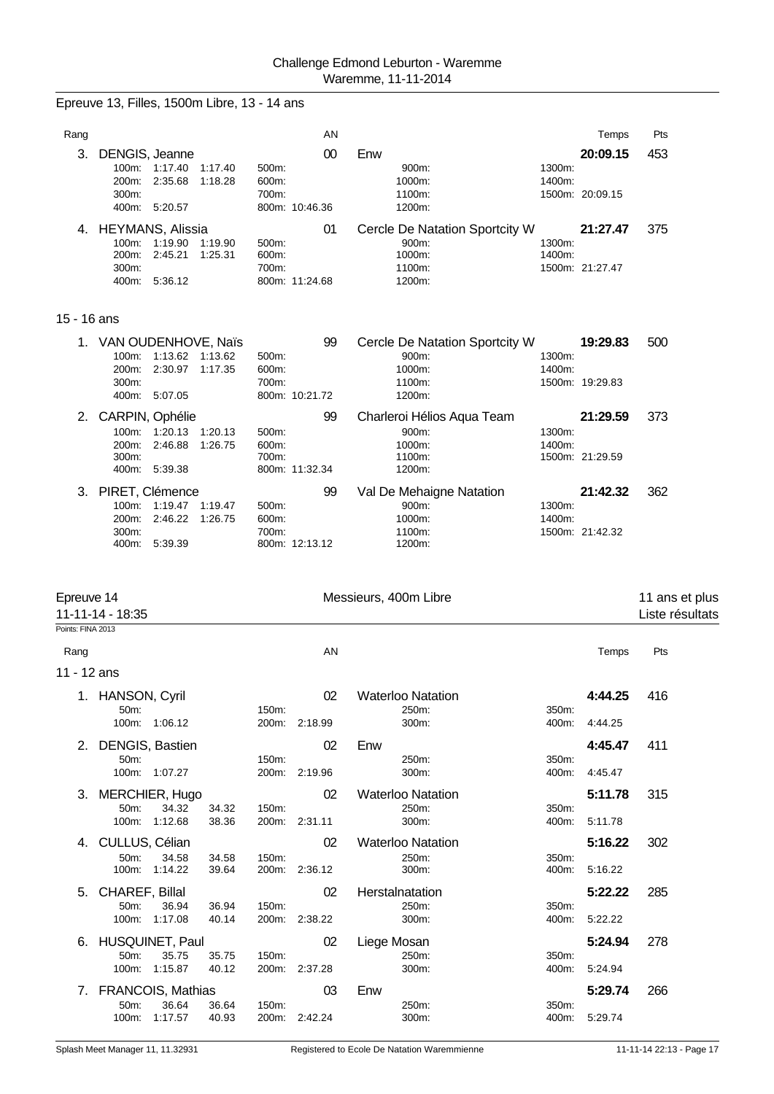|                           | Epreuve 13, Filles, 1500m Libre, 13 - 14 ans                                                             |                         |                          |                                                                       |                  |                             |                                   |
|---------------------------|----------------------------------------------------------------------------------------------------------|-------------------------|--------------------------|-----------------------------------------------------------------------|------------------|-----------------------------|-----------------------------------|
| Rang                      |                                                                                                          |                         | AN                       |                                                                       |                  | Temps                       | Pts                               |
| 3.                        | DENGIS, Jeanne<br>100m: 1:17.40<br>1:17.40<br>2:35.68<br>1:18.28<br>200m:<br>300m:<br>400m: 5:20.57      | 500m:<br>600m:<br>700m: | $00\,$<br>800m: 10:46.36 | Enw<br>900m:<br>1000m:<br>1100m:<br>1200m:                            | 1300m:<br>1400m: | 20:09.15<br>1500m: 20:09.15 | 453                               |
|                           | 4. HEYMANS, Alissia<br>100m: 1:19.90<br>1:19.90<br>2:45.21<br>1:25.31<br>200m:<br>300m:<br>400m: 5:36.12 | 500m:<br>600m:<br>700m: | 01<br>800m: 11:24.68     | Cercle De Natation Sportcity W<br>900m:<br>1000m:<br>1100m:<br>1200m: | 1300m:<br>1400m: | 21:27.47<br>1500m: 21:27.47 | 375                               |
| 15 - 16 ans               |                                                                                                          |                         |                          |                                                                       |                  |                             |                                   |
|                           | 1. VAN OUDENHOVE, Naïs<br>100m: 1:13.62 1:13.62<br>2:30.97<br>1:17.35<br>200m:<br>300m:<br>400m: 5:07.05 | 500m:<br>600m:<br>700m: | 99<br>800m: 10:21.72     | Cercle De Natation Sportcity W<br>900m:<br>1000m:<br>1100m:<br>1200m: | 1300m:<br>1400m: | 19:29.83<br>1500m: 19:29.83 | 500                               |
| 2.                        | CARPIN, Ophélie<br>100m:<br>1:20.13<br>1:20.13<br>200m:<br>2:46.88<br>1:26.75<br>300m:<br>400m: 5:39.38  | 500m:<br>600m:<br>700m: | 99<br>800m: 11:32.34     | Charleroi Hélios Aqua Team<br>900m:<br>1000m:<br>1100m:<br>1200m:     | 1300m:<br>1400m: | 21:29.59<br>1500m: 21:29.59 | 373                               |
| 3.                        | PIRET, Clémence<br>100m: 1:19.47 1:19.47<br>200m:<br>2:46.22<br>1:26.75<br>300m:<br>400m: 5:39.39        | 500m:<br>600m:<br>700m: | 99<br>800m: 12:13.12     | Val De Mehaigne Natation<br>900m:<br>1000m:<br>1100m:<br>1200m:       | 1300m:<br>1400m: | 21:42.32<br>1500m: 21:42.32 | 362                               |
|                           |                                                                                                          |                         |                          |                                                                       |                  |                             |                                   |
| Epreuve 14                | 11-11-14 - 18:35                                                                                         |                         |                          | Messieurs, 400m Libre                                                 |                  |                             | 11 ans et plus<br>Liste résultats |
| Points: FINA 2013<br>Rang |                                                                                                          |                         | AN                       |                                                                       |                  | Temps                       | Pts                               |
| 11 - 12 ans               |                                                                                                          |                         |                          |                                                                       |                  |                             |                                   |
|                           | 1. HANSON, Cyril<br>50m:<br>100m: 1:06.12                                                                | 150m:                   | 02<br>200m: 2:18.99      | <b>Waterloo Natation</b><br>250m:<br>300m:                            | 350m:<br>400m:   | 4:44.25<br>4:44.25          | 416                               |
|                           | 2. DENGIS, Bastien<br>50m:<br>100m: 1:07.27                                                              | 150m:                   | 02<br>200m: 2:19.96      | Enw<br>250m:<br>$300m$ :                                              | 350m:<br>400m:   | 4:45.47<br>4:45.47          | 411                               |
| 3.                        | MERCHIER, Hugo<br>50m:<br>34.32<br>34.32<br>100m: 1:12.68<br>38.36                                       | 150m:                   | 02<br>200m: 2:31.11      | <b>Waterloo Natation</b><br>250m:<br>300m:                            | 350m:<br>400m:   | 5:11.78<br>5:11.78          | 315                               |
| 4.                        | CULLUS, Célian<br>50m:<br>34.58<br>34.58<br>100m: 1:14.22<br>39.64                                       | 150m:                   | 02<br>200m: 2:36.12      | <b>Waterloo Natation</b><br>250m:<br>300m:                            | 350m:<br>400m:   | 5:16.22<br>5:16.22          | 302                               |
| 5.                        | CHAREF, Billal<br>50m:<br>36.94<br>36.94<br>100m: 1:17.08<br>40.14                                       | 150m:                   | 02<br>200m: 2:38.22      | Herstalnatation<br>250m:<br>300m:                                     | 350m:<br>400m:   | 5:22.22<br>5:22.22          | 285                               |
| 6.                        | <b>HUSQUINET, Paul</b><br>50m:<br>35.75<br>35.75<br>100m: 1:15.87<br>40.12                               | 150m:                   | 02<br>200m: 2:37.28      | Liege Mosan<br>250m:<br>300m:                                         | 350m:<br>400m:   | 5:24.94<br>5.24.94          | 278                               |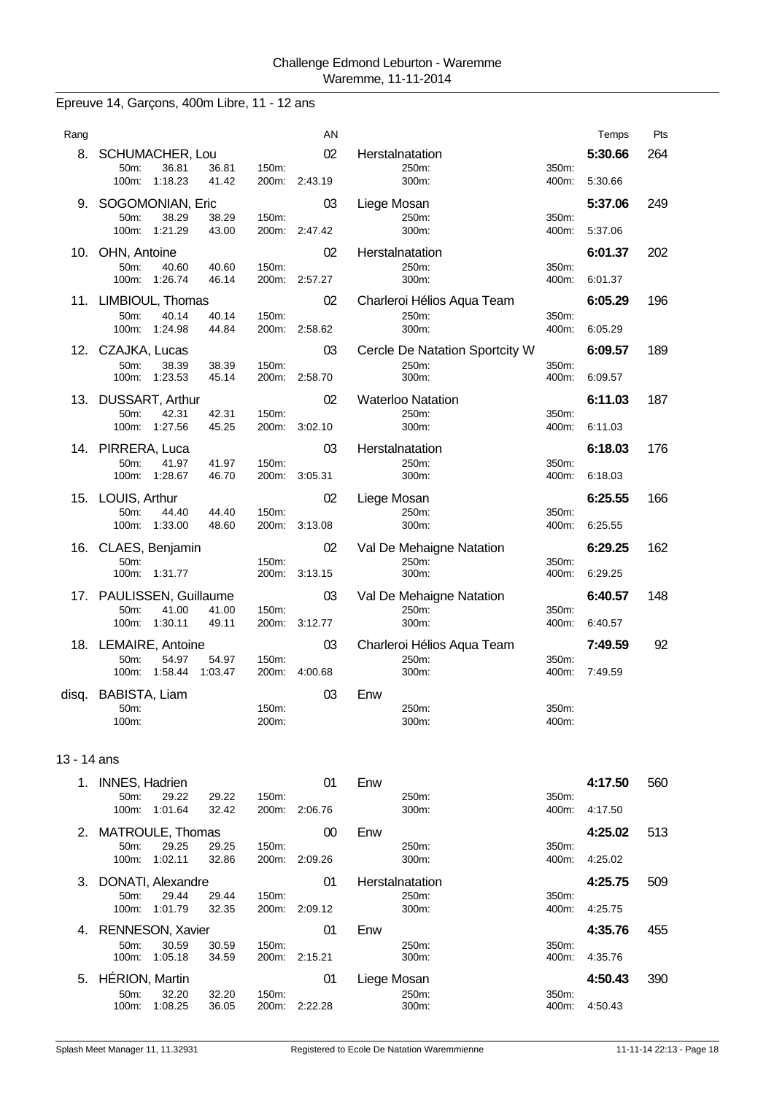# Epreuve 14, Garçons, 400m Libre, 11 - 12 ans

| Rang  |                                                    |                | AN            |                                   |                | Temps   | Pts |
|-------|----------------------------------------------------|----------------|---------------|-----------------------------------|----------------|---------|-----|
| 8.    | <b>SCHUMACHER, Lou</b><br>36.81<br>36.81<br>50m:   | 150m:          | 02            | Herstalnatation<br>250m:          | 350m:          | 5:30.66 | 264 |
|       | 100m: 1:18.23<br>41.42                             |                | 200m: 2:43.19 | 300m:                             | 400m:          | 5:30.66 |     |
| 9.    | SOGOMONIAN, Eric                                   |                | 03            | Liege Mosan                       |                | 5:37.06 | 249 |
|       | 50m:<br>38.29<br>38.29<br>100m: 1:21.29<br>43.00   | 150m:          | 200m: 2:47.42 | 250m:<br>300m:                    | 350m:<br>400m: | 5:37.06 |     |
| 10.   | OHN, Antoine                                       |                | 02            | Herstalnatation                   |                | 6:01.37 | 202 |
|       | 50m:<br>40.60<br>40.60                             | 150m:          |               | 250m:                             | 350m:          |         |     |
|       | 100m: 1:26.74<br>46.14                             |                | 200m: 2:57.27 | 300m:                             | 400m:          | 6:01.37 |     |
|       | 11. LIMBIOUL, Thomas                               |                | 02            | Charleroi Hélios Aqua Team        |                | 6:05.29 | 196 |
|       | 50m:<br>40.14<br>40.14<br>100m: 1:24.98<br>44.84   | 150m:<br>200m: | 2:58.62       | 250m:<br>300m:                    | 350m:<br>400m: | 6:05.29 |     |
|       | 12. CZAJKA, Lucas                                  |                | 03            | Cercle De Natation Sportcity W    |                | 6:09.57 | 189 |
|       | 50m:<br>38.39<br>38.39                             | 150m:          |               | 250m:                             | 350m:          |         |     |
|       | 100m: 1:23.53<br>45.14                             |                | 200m: 2:58.70 | 300m:                             | 400m:          | 6:09.57 |     |
|       | 13. DUSSART, Arthur                                |                | 02            | <b>Waterloo Natation</b>          |                | 6:11.03 | 187 |
|       | 50m:<br>42.31<br>42.31                             | 150m:          |               | 250m:                             | 350m:          |         |     |
|       | 100m: 1:27.56<br>45.25                             | 200m:          | 3:02.10       | 300m:                             | 400m:          | 6:11.03 |     |
|       | 14. PIRRERA, Luca<br>41.97<br>50m:                 |                | 03            | Herstalnatation                   |                | 6:18.03 | 176 |
|       | 41.97<br>100m: 1:28.67<br>46.70                    | 150m:<br>200m: | 3:05.31       | 250m:<br>300m:                    | 350m:<br>400m: | 6:18.03 |     |
|       | 15. LOUIS, Arthur                                  |                | 02            | Liege Mosan                       |                | 6:25.55 | 166 |
|       | 44.40<br>50m:<br>44.40                             | 150m:          |               | 250m:                             | 350m:          |         |     |
|       | 100m: 1:33.00<br>48.60                             | 200m:          | 3:13.08       | 300m:                             | 400m:          | 6:25.55 |     |
|       | 16. CLAES, Benjamin                                |                | 02            | Val De Mehaigne Natation          |                | 6:29.25 | 162 |
|       | 50m:<br>1:31.77<br>100m:                           | 150m:<br>200m: | 3:13.15       | 250m:<br>300m:                    | 350m:<br>400m: | 6:29.25 |     |
|       |                                                    |                |               |                                   |                |         |     |
|       | 17. PAULISSEN, Guillaume<br>50m:<br>41.00<br>41.00 | 150m:          | 03            | Val De Mehaigne Natation<br>250m: | 350m:          | 6:40.57 | 148 |
|       | 100m: 1:30.11<br>49.11                             | 200m:          | 3:12.77       | 300m:                             | 400m:          | 6:40.57 |     |
|       | 18. LEMAIRE, Antoine                               |                | 03            | Charleroi Hélios Aqua Team        |                | 7:49.59 | 92  |
|       | 50m:<br>54.97<br>54.97                             | 150m:          |               | 250m:                             | 350m:          |         |     |
|       | 1:58.44<br>$100m$ :<br>1:03.47                     | 200m:          | 4:00.68       | 300m:                             | 400m:          | 7:49.59 |     |
| disq. | BABISTA, Liam                                      |                | 03            | Enw                               |                |         |     |
|       | 50m:<br>100m:                                      | 150m:<br>200m: |               | 250m:<br>300m:                    | 350m:<br>400m: |         |     |
|       |                                                    |                |               |                                   |                |         |     |

#### 13 - 14 ans

|         |         |                                                |                                                           | 01      | Enw             |          | 4:17.50 | 560 |
|---------|---------|------------------------------------------------|-----------------------------------------------------------|---------|-----------------|----------|---------|-----|
| $50m$ : | 29.22   | 29.22                                          | 150m:                                                     |         | 250m:           | 350m:    |         |     |
| 100m:   | 1:01.64 | 32.42                                          | 200 <sub>m</sub> :                                        | 2:06.76 | 300m:           | 400m:    | 4:17.50 |     |
|         |         |                                                |                                                           | 00      | Enw             |          | 4:25.02 | 513 |
| 50m:    | 29.25   | 29.25                                          | 150m:                                                     |         | 250m:           | $350m$ : |         |     |
| 100m:   | 1:02.11 | 32.86                                          | 200m:                                                     | 2:09.26 | 300m:           | 400m:    | 4:25.02 |     |
|         |         |                                                |                                                           | 01      | Herstalnatation |          | 4:25.75 | 509 |
| $50m$ : | 29.44   | 29.44                                          | 150m:                                                     |         | 250m:           | 350m:    |         |     |
| 100m:   | 1:01.79 | 32.35                                          | 200 <sub>m</sub> :                                        | 2:09.12 | 300m:           | 400m:    | 4:25.75 |     |
|         |         |                                                |                                                           | 01      | Enw             |          | 4:35.76 | 455 |
| 50m     | 30.59   | 30.59                                          | 150m:                                                     |         | 250m:           | 350m:    |         |     |
| 100m:   | 1:05.18 | 34.59                                          | 200 <sub>m</sub> :                                        | 2:15.21 | 300m:           | 400m:    | 4:35.76 |     |
|         |         |                                                |                                                           | 01      | Liege Mosan     |          | 4:50.43 | 390 |
| 50m:    | 32.20   | 32.20                                          | 150m:                                                     |         | 250m:           | 350m:    |         |     |
| 100m:   | 1:08.25 | 36.05                                          | 200m:                                                     | 2:22.28 | 300m:           | 400m:    | 4:50.43 |     |
|         |         | <b>INNES, Hadrien</b><br><b>HÉRION, Martin</b> | MATROULE, Thomas<br>DONATI, Alexandre<br>RENNESON, Xavier |         |                 |          |         |     |